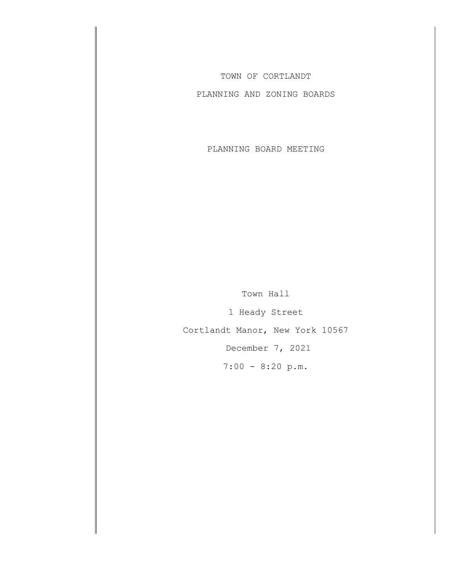TOWN OF CORTLANDT

PLANNING AND ZONING BOARDS

PLANNING BOARD MEETING

Town Hall 1 Heady Street Cortlandt Manor, New York 10567 December 7, 2021

7:00 - 8:20 p.m.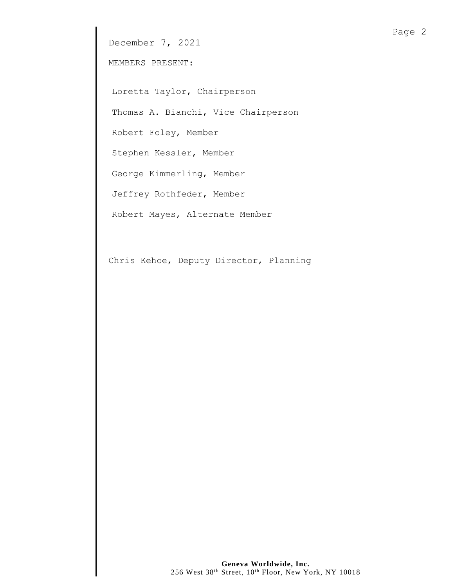December 7, 2021

MEMBERS PRESENT:

Loretta Taylor, Chairperson

Thomas A. Bianchi, Vice Chairperson

Robert Foley, Member

Stephen Kessler, Member

George Kimmerling, Member

Jeffrey Rothfeder, Member

Robert Mayes, Alternate Member

Chris Kehoe, Deputy Director, Planning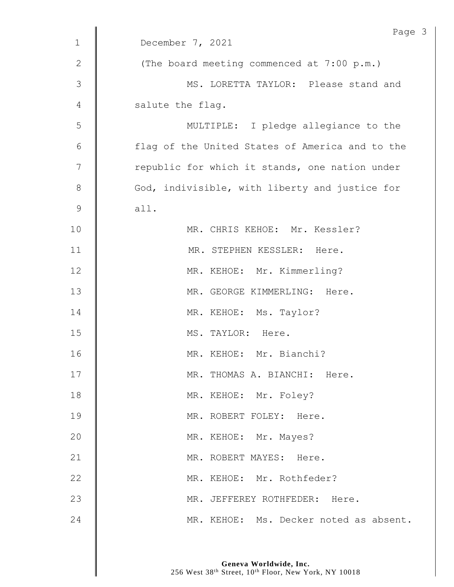| $\mathbf 1$    | Page<br>December 7, 2021                        |
|----------------|-------------------------------------------------|
|                |                                                 |
| $\mathbf{2}$   | (The board meeting commenced at 7:00 p.m.)      |
| 3              | MS. LORETTA TAYLOR: Please stand and            |
| 4              | salute the flag.                                |
| 5              | MULTIPLE: I pledge allegiance to the            |
| 6              | flag of the United States of America and to the |
| $\overline{7}$ | republic for which it stands, one nation under  |
| $\,8\,$        | God, indivisible, with liberty and justice for  |
| $\mathsf 9$    | all.                                            |
| 10             | MR. CHRIS KEHOE: Mr. Kessler?                   |
| 11             | MR. STEPHEN KESSLER: Here.                      |
| 12             | MR. KEHOE: Mr. Kimmerling?                      |
| 13             | MR. GEORGE KIMMERLING: Here.                    |
| 14             | MR. KEHOE: Ms. Taylor?                          |
| 15             | MS. TAYLOR: Here.                               |
| 16             | MR. KEHOE: Mr. Bianchi?                         |
| 17             | MR. THOMAS A. BIANCHI: Here.                    |
| 18             | MR. KEHOE: Mr. Foley?                           |
| 19             | MR. ROBERT FOLEY: Here.                         |
| 20             | MR. KEHOE: Mr. Mayes?                           |
| 21             | MR. ROBERT MAYES: Here.                         |
| 22             | MR. KEHOE: Mr. Rothfeder?                       |
| 23             | MR. JEFFEREY ROTHFEDER: Here.                   |
| 24             | MR. KEHOE: Ms. Decker noted as absent.          |

 $\mathfrak{Z}$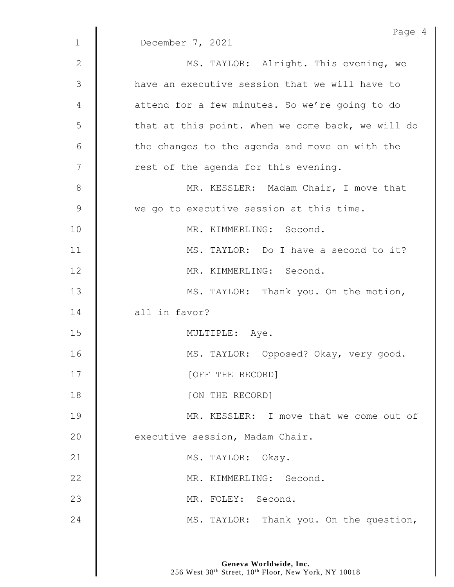|               | Page 4                                            |
|---------------|---------------------------------------------------|
| $\mathbf{1}$  | December 7, 2021                                  |
| $\mathbf{2}$  | MS. TAYLOR: Alright. This evening, we             |
| 3             | have an executive session that we will have to    |
| 4             | attend for a few minutes. So we're going to do    |
| 5             | that at this point. When we come back, we will do |
| 6             | the changes to the agenda and move on with the    |
| 7             | rest of the agenda for this evening.              |
| 8             | MR. KESSLER: Madam Chair, I move that             |
| $\mathcal{G}$ | we go to executive session at this time.          |
| 10            | MR. KIMMERLING: Second.                           |
| 11            | MS. TAYLOR: Do I have a second to it?             |
| 12            | MR. KIMMERLING: Second.                           |
| 13            | MS. TAYLOR: Thank you. On the motion,             |
| 14            | all in favor?                                     |
| 15            | MULTIPLE: Aye.                                    |
| 16            | MS. TAYLOR: Opposed? Okay, very good.             |
| 17            | [OFF THE RECORD]                                  |
| 18            | [ON THE RECORD]                                   |
| 19            | MR. KESSLER: I move that we come out of           |
| 20            | executive session, Madam Chair.                   |
| 21            | MS. TAYLOR: Okay.                                 |
| 22            | MR. KIMMERLING: Second.                           |
| 23            | MR. FOLEY: Second.                                |
| 24            | MS. TAYLOR: Thank you. On the question,           |
|               |                                                   |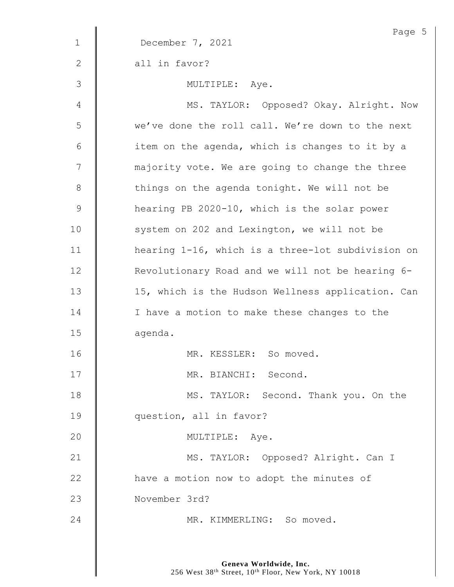|               | Page 5                                            |
|---------------|---------------------------------------------------|
| $\mathbf 1$   | December 7, 2021                                  |
| 2             | all in favor?                                     |
| 3             | MULTIPLE: Aye.                                    |
| 4             | MS. TAYLOR: Opposed? Okay. Alright. Now           |
| 5             | we've done the roll call. We're down to the next  |
| 6             | item on the agenda, which is changes to it by a   |
| 7             | majority vote. We are going to change the three   |
| $8\,$         | things on the agenda tonight. We will not be      |
| $\mathcal{G}$ | hearing PB 2020-10, which is the solar power      |
| 10            | system on 202 and Lexington, we will not be       |
| 11            | hearing 1-16, which is a three-lot subdivision on |
| 12            | Revolutionary Road and we will not be hearing 6-  |
| 13            | 15, which is the Hudson Wellness application. Can |
| 14            | I have a motion to make these changes to the      |
| 15            | agenda.                                           |
| 16            | MR. KESSLER: So moved.                            |
| 17            | MR. BIANCHI: Second.                              |
| 18            | MS. TAYLOR: Second. Thank you. On the             |
| 19            | question, all in favor?                           |
| 20            | MULTIPLE: Aye.                                    |
| 21            | MS. TAYLOR: Opposed? Alright. Can I               |
| 22            | have a motion now to adopt the minutes of         |
| 23            | November 3rd?                                     |
| 24            | MR. KIMMERLING: So moved.                         |
|               |                                                   |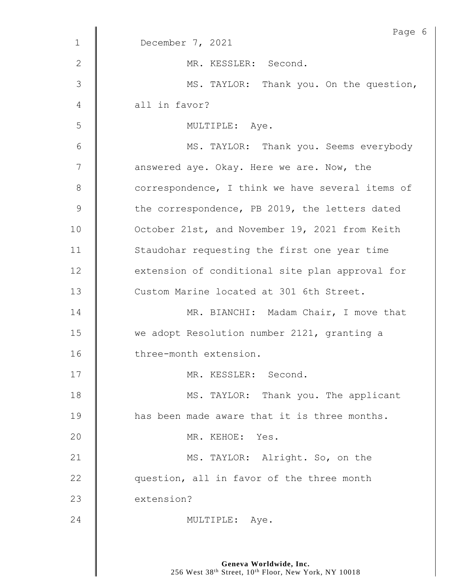|             | Page 6                                           |
|-------------|--------------------------------------------------|
| $\mathbf 1$ | December 7, 2021                                 |
| 2           | MR. KESSLER: Second.                             |
| 3           | MS. TAYLOR: Thank you. On the question,          |
| 4           | all in favor?                                    |
| 5           | MULTIPLE: Aye.                                   |
| 6           | MS. TAYLOR: Thank you. Seems everybody           |
| 7           | answered aye. Okay. Here we are. Now, the        |
| $8\,$       | correspondence, I think we have several items of |
| 9           | the correspondence, PB 2019, the letters dated   |
| 10          | October 21st, and November 19, 2021 from Keith   |
| 11          | Staudohar requesting the first one year time     |
| 12          | extension of conditional site plan approval for  |
| 13          | Custom Marine located at 301 6th Street.         |
| 14          | MR. BIANCHI: Madam Chair, I move that            |
| 15          | we adopt Resolution number 2121, granting a      |
| 16          | three-month extension.                           |
| 17          | MR. KESSLER: Second.                             |
| 18          | MS. TAYLOR: Thank you. The applicant             |
| 19          | has been made aware that it is three months.     |
| 20          | MR. KEHOE: Yes.                                  |
| 21          | MS. TAYLOR: Alright. So, on the                  |
| 22          | question, all in favor of the three month        |
| 23          | extension?                                       |
| 24          | MULTIPLE: Aye.                                   |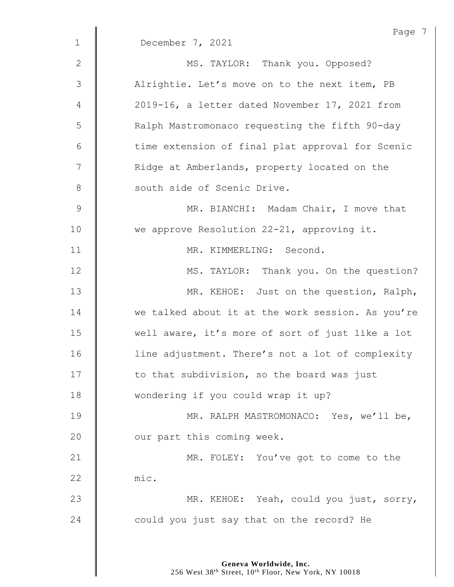|                | Page 7                                            |
|----------------|---------------------------------------------------|
| $\mathbf{1}$   | December 7, 2021                                  |
| $\mathbf{2}$   | MS. TAYLOR: Thank you. Opposed?                   |
| $\mathfrak{Z}$ | Alrightie. Let's move on to the next item, PB     |
| 4              | 2019-16, a letter dated November 17, 2021 from    |
| 5              | Ralph Mastromonaco requesting the fifth 90-day    |
| $\epsilon$     | time extension of final plat approval for Scenic  |
| 7              | Ridge at Amberlands, property located on the      |
| $8\,$          | south side of Scenic Drive.                       |
| $\mathsf 9$    | MR. BIANCHI: Madam Chair, I move that             |
| 10             | we approve Resolution 22-21, approving it.        |
| 11             | MR. KIMMERLING: Second.                           |
| 12             | MS. TAYLOR: Thank you. On the question?           |
| 13             | MR. KEHOE: Just on the question, Ralph,           |
| 14             | we talked about it at the work session. As you're |
| 15             | well aware, it's more of sort of just like a lot  |
| 16             | line adjustment. There's not a lot of complexity  |
| 17             | to that subdivision, so the board was just        |
| 18             | wondering if you could wrap it up?                |
| 19             | MR. RALPH MASTROMONACO: Yes, we'll be,            |
| 20             | our part this coming week.                        |
| 21             | MR. FOLEY: You've got to come to the              |
| 22             | mic.                                              |
| 23             | MR. KEHOE: Yeah, could you just, sorry,           |
| 24             | could you just say that on the record? He         |
|                |                                                   |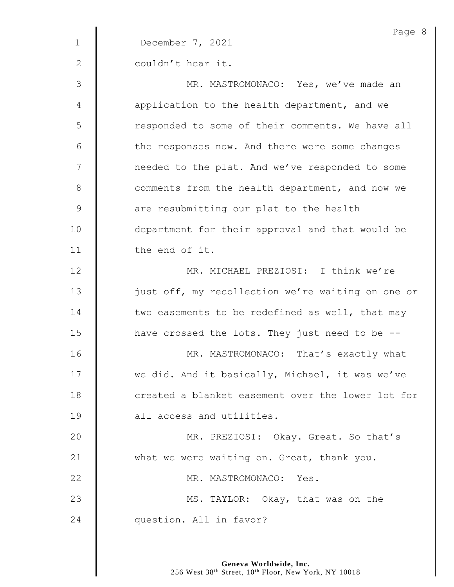|              | Page 8                                            |
|--------------|---------------------------------------------------|
| $\mathbf{1}$ | December 7, 2021                                  |
| $\mathbf{2}$ | couldn't hear it.                                 |
| 3            | MR. MASTROMONACO: Yes, we've made an              |
| 4            | application to the health department, and we      |
| 5            | responded to some of their comments. We have all  |
| 6            | the responses now. And there were some changes    |
| 7            | needed to the plat. And we've responded to some   |
| $8\,$        | comments from the health department, and now we   |
| $\mathsf 9$  | are resubmitting our plat to the health           |
| 10           | department for their approval and that would be   |
| 11           | the end of it.                                    |
| 12           | MR. MICHAEL PREZIOSI: I think we're               |
| 13           | just off, my recollection we're waiting on one or |
| 14           | two easements to be redefined as well, that may   |
| 15           | have crossed the lots. They just need to be --    |
| 16           | MR. MASTROMONACO: That's exactly what             |
| 17           | we did. And it basically, Michael, it was we've   |
| 18           | created a blanket easement over the lower lot for |
| 19           | all access and utilities.                         |
| 20           | MR. PREZIOSI: Okay. Great. So that's              |
| 21           | what we were waiting on. Great, thank you.        |
| 22           | MR. MASTROMONACO: Yes.                            |
| 23           | MS. TAYLOR: Okay, that was on the                 |
| 24           | question. All in favor?                           |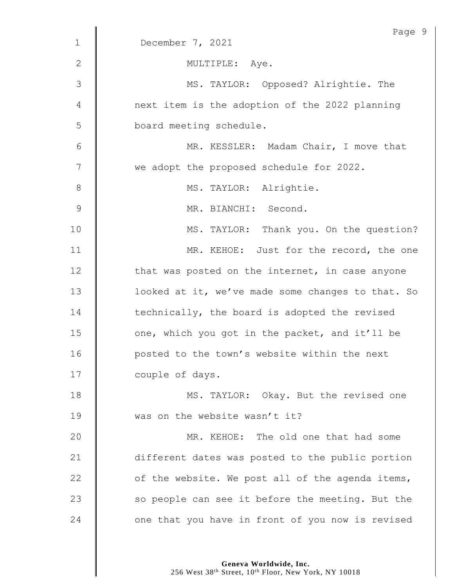|                | Page 9                                            |
|----------------|---------------------------------------------------|
| $\mathbf{1}$   | December 7, 2021                                  |
| $\mathbf{2}$   | MULTIPLE: Aye.                                    |
| 3              | MS. TAYLOR: Opposed? Alrightie. The               |
| 4              | next item is the adoption of the 2022 planning    |
| 5              | board meeting schedule.                           |
| 6              | MR. KESSLER: Madam Chair, I move that             |
| $\overline{7}$ | we adopt the proposed schedule for 2022.          |
| 8              | MS. TAYLOR: Alrightie.                            |
| 9              | MR. BIANCHI: Second.                              |
| 10             | MS. TAYLOR: Thank you. On the question?           |
| 11             | MR. KEHOE: Just for the record, the one           |
| 12             | that was posted on the internet, in case anyone   |
| 13             | looked at it, we've made some changes to that. So |
| 14             | technically, the board is adopted the revised     |
| 15             | one, which you got in the packet, and it'll be    |
| 16             | posted to the town's website within the next      |
| 17             | couple of days.                                   |
| 18             | MS. TAYLOR: Okay. But the revised one             |
| 19             | was on the website wasn't it?                     |
| 20             | MR. KEHOE: The old one that had some              |
| 21             | different dates was posted to the public portion  |
| 22             | of the website. We post all of the agenda items,  |
| 23             | so people can see it before the meeting. But the  |
| 24             | one that you have in front of you now is revised  |
|                |                                                   |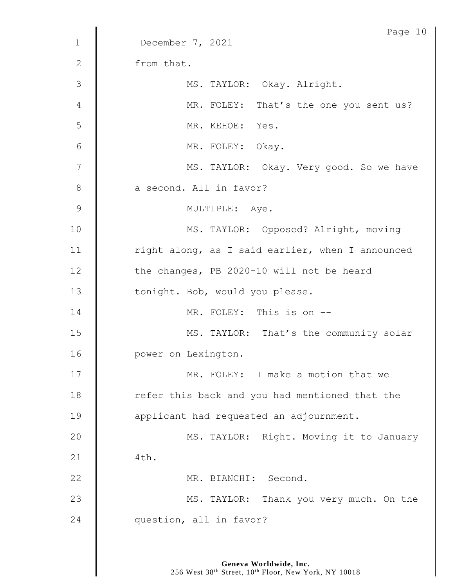|              | Page 10                                          |
|--------------|--------------------------------------------------|
| $\mathbf{1}$ | December 7, 2021                                 |
| $\mathbf{2}$ | from that.                                       |
| 3            | MS. TAYLOR: Okay. Alright.                       |
| 4            | MR. FOLEY: That's the one you sent us?           |
| 5            | MR. KEHOE: Yes.                                  |
| 6            | MR. FOLEY: Okay.                                 |
| 7            | MS. TAYLOR: Okay. Very good. So we have          |
| $8\,$        | a second. All in favor?                          |
| 9            | MULTIPLE: Aye.                                   |
| 10           | MS. TAYLOR: Opposed? Alright, moving             |
| 11           | right along, as I said earlier, when I announced |
| 12           | the changes, PB 2020-10 will not be heard        |
| 13           | tonight. Bob, would you please.                  |
| 14           | MR. FOLEY: This is on --                         |
| 15           | MS. TAYLOR: That's the community solar           |
| 16           | power on Lexington.                              |
| 17           | MR. FOLEY: I make a motion that we               |
| 18           | refer this back and you had mentioned that the   |
| 19           | applicant had requested an adjournment.          |
| 20           | MS. TAYLOR: Right. Moving it to January          |
| 21           | 4th.                                             |
| 22           | MR. BIANCHI: Second.                             |
| 23           | MS. TAYLOR: Thank you very much. On the          |
| 24           | question, all in favor?                          |
|              |                                                  |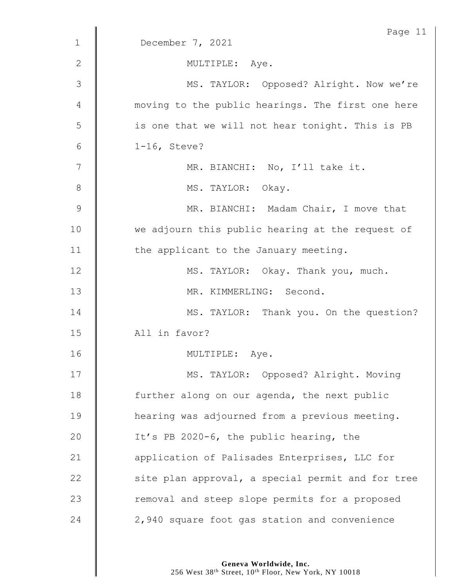|               | Page 11                                           |
|---------------|---------------------------------------------------|
| $\mathbf 1$   | December 7, 2021                                  |
| 2             | MULTIPLE: Aye.                                    |
| 3             | MS. TAYLOR: Opposed? Alright. Now we're           |
| 4             | moving to the public hearings. The first one here |
| 5             | is one that we will not hear tonight. This is PB  |
| 6             | $1-16$ , Steve?                                   |
| 7             | MR. BIANCHI: No, I'll take it.                    |
| 8             | MS. TAYLOR: Okay.                                 |
| $\mathcal{G}$ | MR. BIANCHI: Madam Chair, I move that             |
| 10            | we adjourn this public hearing at the request of  |
| 11            | the applicant to the January meeting.             |
| 12            | MS. TAYLOR: Okay. Thank you, much.                |
| 13            | MR. KIMMERLING: Second.                           |
| 14            | MS. TAYLOR: Thank you. On the question?           |
| 15            | All in favor?                                     |
| 16            | MULTIPLE: Aye.                                    |
| 17            | MS. TAYLOR: Opposed? Alright. Moving              |
| 18            | further along on our agenda, the next public      |
| 19            | hearing was adjourned from a previous meeting.    |
| 20            | It's PB 2020-6, the public hearing, the           |
| 21            | application of Palisades Enterprises, LLC for     |
| 22            | site plan approval, a special permit and for tree |
| 23            | removal and steep slope permits for a proposed    |
| 24            | 2,940 square foot gas station and convenience     |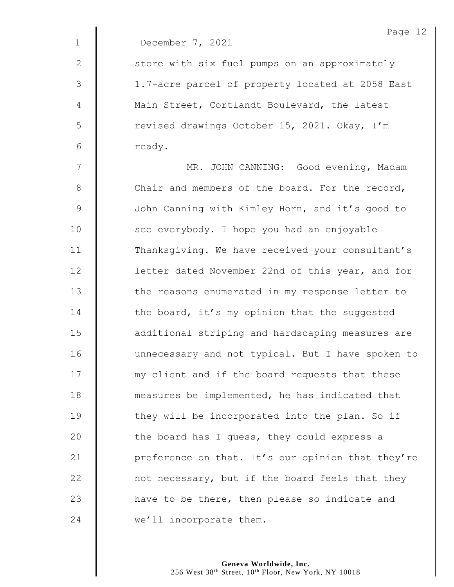|              | Page 12                                           |
|--------------|---------------------------------------------------|
| $\mathbf 1$  | December 7, 2021                                  |
| $\mathbf{2}$ | store with six fuel pumps on an approximately     |
| 3            | 1.7-acre parcel of property located at 2058 East  |
| 4            | Main Street, Cortlandt Boulevard, the latest      |
| 5            | revised drawings October 15, 2021. Okay, I'm      |
| 6            | ready.                                            |
| 7            | MR. JOHN CANNING: Good evening, Madam             |
| $8\,$        | Chair and members of the board. For the record,   |
| $\mathsf 9$  | John Canning with Kimley Horn, and it's good to   |
| 10           | see everybody. I hope you had an enjoyable        |
| 11           | Thanksgiving. We have received your consultant's  |
| 12           | letter dated November 22nd of this year, and for  |
| 13           | the reasons enumerated in my response letter to   |
| 14           | the board, it's my opinion that the suggested     |
| 15           | additional striping and hardscaping measures are  |
| 16           | unnecessary and not typical. But I have spoken to |
| 17           | my client and if the board requests that these    |
| 18           | measures be implemented, he has indicated that    |
| 19           | they will be incorporated into the plan. So if    |
| 20           | the board has I quess, they could express a       |
| 21           | preference on that. It's our opinion that they're |
| 22           | not necessary, but if the board feels that they   |
| 23           | have to be there, then please so indicate and     |
| 24           | we'll incorporate them.                           |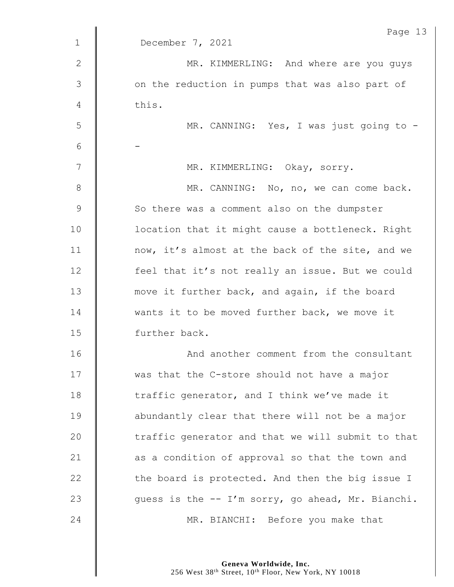|                | Page 13                                           |
|----------------|---------------------------------------------------|
| $\mathbf{1}$   | December 7, 2021                                  |
| $\mathbf 2$    | MR. KIMMERLING: And where are you guys            |
| $\mathfrak{Z}$ | on the reduction in pumps that was also part of   |
| 4              | this.                                             |
| 5              | MR. CANNING: Yes, I was just going to -           |
| 6              |                                                   |
| 7              | MR. KIMMERLING: Okay, sorry.                      |
| $8\,$          | MR. CANNING: No, no, we can come back.            |
| $\mathcal{G}$  | So there was a comment also on the dumpster       |
| 10             | location that it might cause a bottleneck. Right  |
| 11             | now, it's almost at the back of the site, and we  |
| 12             | feel that it's not really an issue. But we could  |
| 13             | move it further back, and again, if the board     |
| 14             | wants it to be moved further back, we move it     |
| 15             | further back.                                     |
| 16             | And another comment from the consultant           |
| 17             | was that the C-store should not have a major      |
| 18             | traffic generator, and I think we've made it      |
| 19             | abundantly clear that there will not be a major   |
| 20             | traffic generator and that we will submit to that |
| 21             | as a condition of approval so that the town and   |
| 22             | the board is protected. And then the big issue I  |
| 23             | guess is the -- I'm sorry, go ahead, Mr. Bianchi. |
| 24             | MR. BIANCHI: Before you make that                 |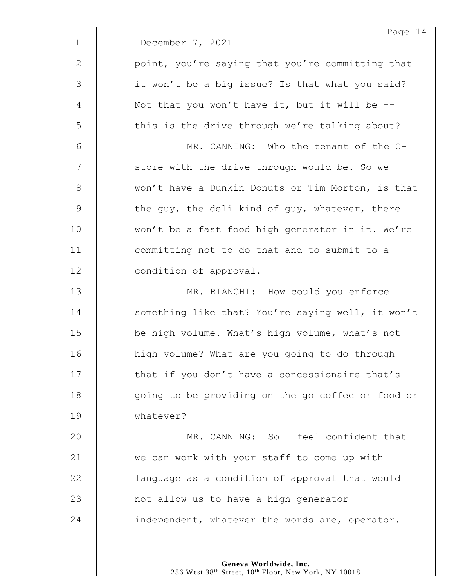|              | Page 14                                           |
|--------------|---------------------------------------------------|
| $\mathbf{1}$ | December 7, 2021                                  |
| 2            | point, you're saying that you're committing that  |
| 3            | it won't be a big issue? Is that what you said?   |
| 4            | Not that you won't have it, but it will be $-$ -  |
| 5            | this is the drive through we're talking about?    |
| 6            | MR. CANNING: Who the tenant of the C-             |
| 7            | store with the drive through would be. So we      |
| 8            | won't have a Dunkin Donuts or Tim Morton, is that |
| $\mathsf 9$  | the guy, the deli kind of guy, whatever, there    |
| 10           | won't be a fast food high generator in it. We're  |
| 11           | committing not to do that and to submit to a      |
| 12           | condition of approval.                            |
| 13           | MR. BIANCHI: How could you enforce                |
| 14           | something like that? You're saying well, it won't |
| 15           | be high volume. What's high volume, what's not    |
| 16           | high volume? What are you going to do through     |
| 17           | that if you don't have a concessionaire that's    |
| 18           | going to be providing on the go coffee or food or |
| 19           | whatever?                                         |
| 20           | MR. CANNING: So I feel confident that             |
| 21           | we can work with your staff to come up with       |
| 22           | language as a condition of approval that would    |
| 23           | not allow us to have a high generator             |
| 24           | independent, whatever the words are, operator.    |
|              |                                                   |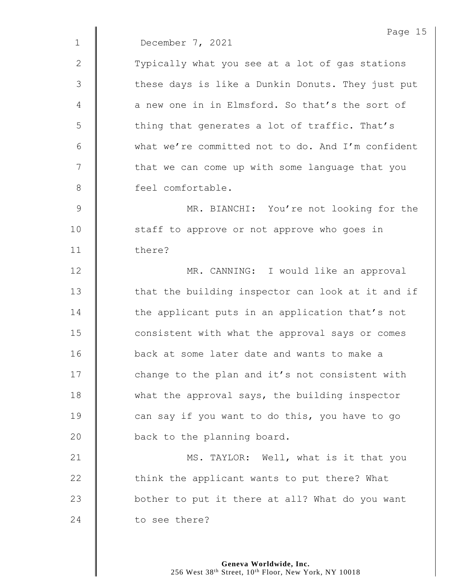|                | Page 15                                           |
|----------------|---------------------------------------------------|
| $\mathbf 1$    | December 7, 2021                                  |
| $\mathbf{2}$   | Typically what you see at a lot of gas stations   |
| 3              | these days is like a Dunkin Donuts. They just put |
| 4              | a new one in in Elmsford. So that's the sort of   |
| 5              | thing that generates a lot of traffic. That's     |
| 6              | what we're committed not to do. And I'm confident |
| 7              | that we can come up with some language that you   |
| 8              | feel comfortable.                                 |
| $\overline{9}$ | MR. BIANCHI: You're not looking for the           |
| 10             | staff to approve or not approve who goes in       |
| 11             | there?                                            |
| 12             | MR. CANNING: I would like an approval             |
| 13             | that the building inspector can look at it and if |
| 14             | the applicant puts in an application that's not   |
| 15             | consistent with what the approval says or comes   |
| 16             | back at some later date and wants to make a       |
| 17             | change to the plan and it's not consistent with   |
| 18             | what the approval says, the building inspector    |
| 19             | can say if you want to do this, you have to go    |
| 20             | back to the planning board.                       |
| 21             | MS. TAYLOR: Well, what is it that you             |
| 22             | think the applicant wants to put there? What      |
| 23             | bother to put it there at all? What do you want   |
| 24             | to see there?                                     |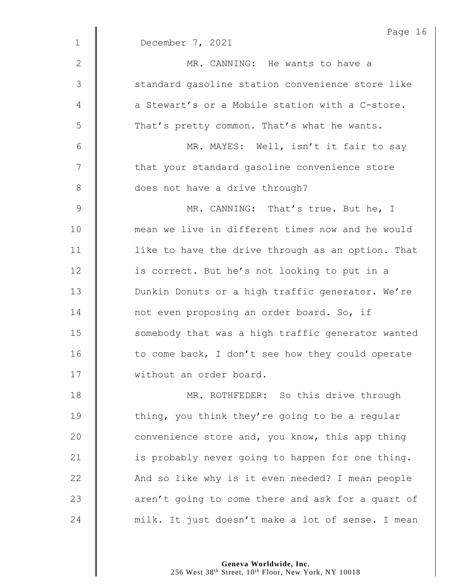|               | Page 16                                           |
|---------------|---------------------------------------------------|
| $\mathbf 1$   | December 7, 2021                                  |
| $\mathbf{2}$  | MR. CANNING: He wants to have a                   |
| $\mathcal{S}$ | standard gasoline station convenience store like  |
| 4             | a Stewart's or a Mobile station with a C-store.   |
| 5             | That's pretty common. That's what he wants.       |
| 6             | MR. MAYES: Well, isn't it fair to say             |
| 7             | that your standard gasoline convenience store     |
| $8\,$         | does not have a drive through?                    |
| $\mathcal{G}$ | MR. CANNING: That's true. But he, I               |
| 10            | mean we live in different times now and he would  |
| 11            | like to have the drive through as an option. That |
| 12            | is correct. But he's not looking to put in a      |
| 13            | Dunkin Donuts or a high traffic generator. We're  |
| 14            | not even proposing an order board. So, if         |
| 15            | somebody that was a high traffic generator wanted |
| 16            | to come back, I don't see how they could operate  |
| 17            | without an order board.                           |
| 18            | MR. ROTHFEDER: So this drive through              |
| 19            | thing, you think they're going to be a regular    |
| 20            | convenience store and, you know, this app thing   |
| 21            | is probably never going to happen for one thing.  |
| 22            | And so like why is it even needed? I mean people  |
| 23            | aren't going to come there and ask for a quart of |
| 24            | milk. It just doesn't make a lot of sense. I mean |
|               |                                                   |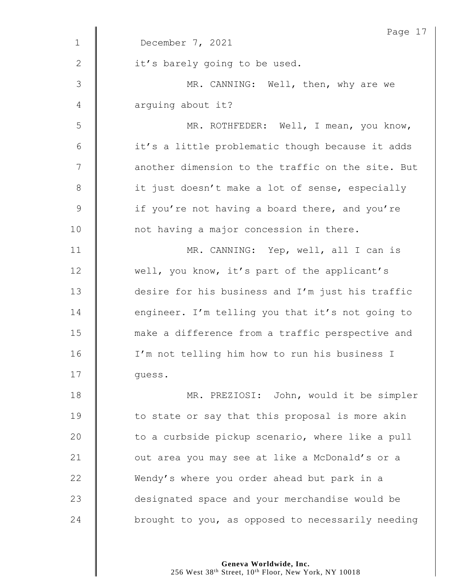| Page 1                                            |
|---------------------------------------------------|
| December 7, 2021                                  |
| it's barely going to be used.                     |
| MR. CANNING: Well, then, why are we               |
| arguing about it?                                 |
| MR. ROTHFEDER: Well, I mean, you know,            |
| it's a little problematic though because it adds  |
| another dimension to the traffic on the site. But |
| it just doesn't make a lot of sense, especially   |
| if you're not having a board there, and you're    |
| not having a major concession in there.           |
| MR. CANNING: Yep, well, all I can is              |
| well, you know, it's part of the applicant's      |
| desire for his business and I'm just his traffic  |
| engineer. I'm telling you that it's not going to  |
| make a difference from a traffic perspective and  |
| I'm not telling him how to run his business I     |
| quess.                                            |
| MR. PREZIOSI: John, would it be simpler           |
| to state or say that this proposal is more akin   |
| to a curbside pickup scenario, where like a pull  |
| out area you may see at like a McDonald's or a    |
| Wendy's where you order ahead but park in a       |
| designated space and your merchandise would be    |
| brought to you, as opposed to necessarily needing |
|                                                   |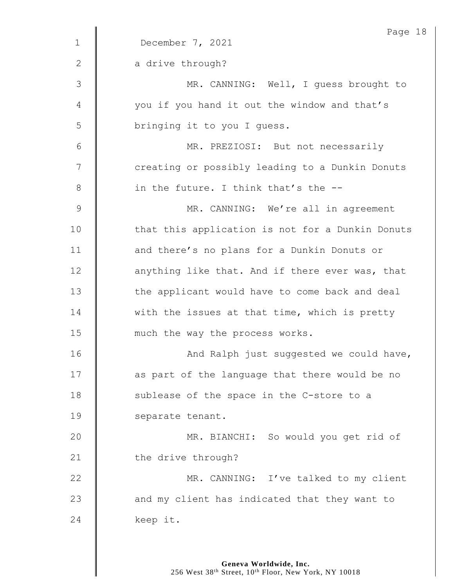|                | Page 18                                          |
|----------------|--------------------------------------------------|
| $\mathbf 1$    | December 7, 2021                                 |
| 2              | a drive through?                                 |
| 3              | MR. CANNING: Well, I guess brought to            |
| 4              | you if you hand it out the window and that's     |
| 5              | bringing it to you I quess.                      |
| 6              | MR. PREZIOSI: But not necessarily                |
| 7              | creating or possibly leading to a Dunkin Donuts  |
| 8              | in the future. I think that's the --             |
| $\overline{9}$ | MR. CANNING: We're all in agreement              |
| 10             | that this application is not for a Dunkin Donuts |
| 11             | and there's no plans for a Dunkin Donuts or      |
| 12             | anything like that. And if there ever was, that  |
| 13             | the applicant would have to come back and deal   |
| 14             | with the issues at that time, which is pretty    |
| 15             | much the way the process works.                  |
| 16             | And Ralph just suggested we could have,          |
| 17             | as part of the language that there would be no   |
| 18             | sublease of the space in the C-store to a        |
| 19             | separate tenant.                                 |
| 20             | MR. BIANCHI: So would you get rid of             |
| 21             | the drive through?                               |
| 22             | MR. CANNING: I've talked to my client            |
| 23             | and my client has indicated that they want to    |
| 24             | keep it.                                         |
|                |                                                  |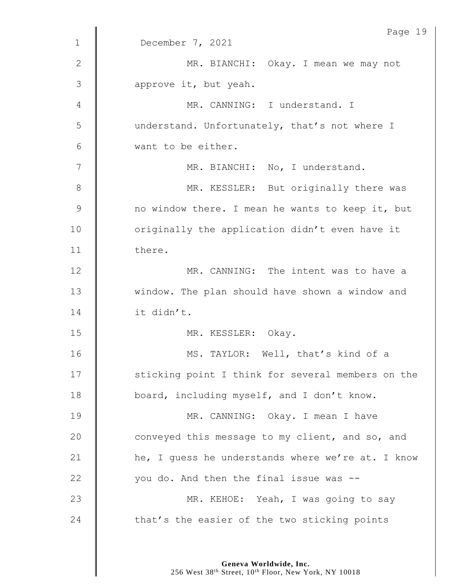|               | Page 19                                           |
|---------------|---------------------------------------------------|
| $\mathbf 1$   | December 7, 2021                                  |
| $\mathbf{2}$  | MR. BIANCHI: Okay. I mean we may not              |
| 3             | approve it, but yeah.                             |
| 4             | MR. CANNING: I understand. I                      |
| 5             | understand. Unfortunately, that's not where I     |
| 6             | want to be either.                                |
| 7             | MR. BIANCHI: No, I understand.                    |
| $\,8\,$       | MR. KESSLER: But originally there was             |
| $\mathcal{G}$ | no window there. I mean he wants to keep it, but  |
| 10            | originally the application didn't even have it    |
| 11            | there.                                            |
| 12            | MR. CANNING: The intent was to have a             |
| 13            | window. The plan should have shown a window and   |
| 14            | it didn't.                                        |
| 15            | MR. KESSLER: Okay.                                |
| 16            | MS. TAYLOR: Well, that's kind of a                |
| 17            | sticking point I think for several members on the |
| 18            | board, including myself, and I don't know.        |
| 19            | MR. CANNING: Okay. I mean I have                  |
| 20            | conveyed this message to my client, and so, and   |
| 21            | he, I guess he understands where we're at. I know |
| 22            | you do. And then the final issue was --           |
| 23            | MR. KEHOE: Yeah, I was going to say               |
| 24            | that's the easier of the two sticking points      |
|               |                                                   |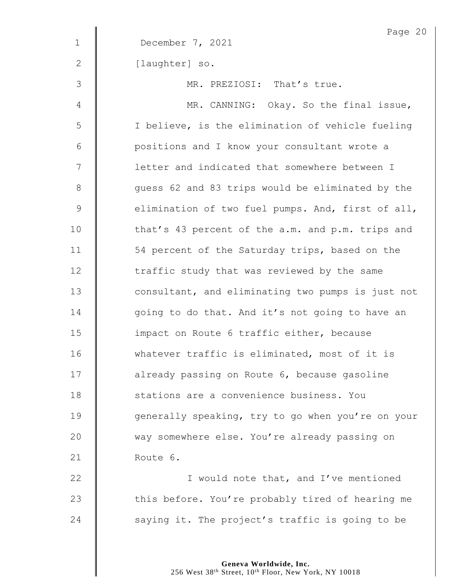|               | Page 20                                           |
|---------------|---------------------------------------------------|
| $\mathbf 1$   | December 7, 2021                                  |
| 2             | [laughter] so.                                    |
| $\mathcal{S}$ | MR. PREZIOSI: That's true.                        |
| 4             | MR. CANNING: Okay. So the final issue,            |
| 5             | I believe, is the elimination of vehicle fueling  |
| $6\,$         | positions and I know your consultant wrote a      |
| 7             | letter and indicated that somewhere between I     |
| 8             | quess 62 and 83 trips would be eliminated by the  |
| $\mathsf 9$   | elimination of two fuel pumps. And, first of all, |
| 10            | that's 43 percent of the a.m. and p.m. trips and  |
| 11            | 54 percent of the Saturday trips, based on the    |
| 12            | traffic study that was reviewed by the same       |
| 13            | consultant, and eliminating two pumps is just not |
| 14            | going to do that. And it's not going to have an   |
| 15            | impact on Route 6 traffic either, because         |
| 16            | whatever traffic is eliminated, most of it is     |
| 17            | already passing on Route 6, because gasoline      |
| 18            | stations are a convenience business. You          |
| 19            | generally speaking, try to go when you're on your |
| 20            | way somewhere else. You're already passing on     |
| 21            | Route 6.                                          |
| 22            | I would note that, and I've mentioned             |
| 23            | this before. You're probably tired of hearing me  |
| 24            | saying it. The project's traffic is going to be   |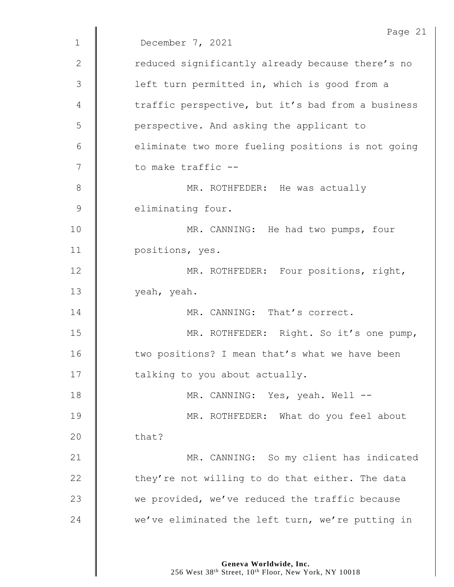|               | Page 21                                           |
|---------------|---------------------------------------------------|
| $\mathbf{1}$  | December 7, 2021                                  |
| 2             | reduced significantly already because there's no  |
| $\mathcal{S}$ | left turn permitted in, which is good from a      |
| 4             | traffic perspective, but it's bad from a business |
| 5             | perspective. And asking the applicant to          |
| 6             | eliminate two more fueling positions is not going |
| 7             | to make traffic --                                |
| 8             | MR. ROTHFEDER: He was actually                    |
| $\mathcal{G}$ | eliminating four.                                 |
| 10            | MR. CANNING: He had two pumps, four               |
| 11            | positions, yes.                                   |
| 12            | MR. ROTHFEDER: Four positions, right,             |
| 13            | yeah, yeah.                                       |
| 14            | MR. CANNING: That's correct.                      |
| 15            | MR. ROTHFEDER: Right. So it's one pump,           |
| 16            | two positions? I mean that's what we have been    |
| 17            | talking to you about actually.                    |
| 18            | MR. CANNING: Yes, yeah. Well --                   |
| 19            | MR. ROTHFEDER: What do you feel about             |
| 20            | that?                                             |
| 21            | MR. CANNING: So my client has indicated           |
| 22            | they're not willing to do that either. The data   |
| 23            | we provided, we've reduced the traffic because    |
| 24            | we've eliminated the left turn, we're putting in  |
|               |                                                   |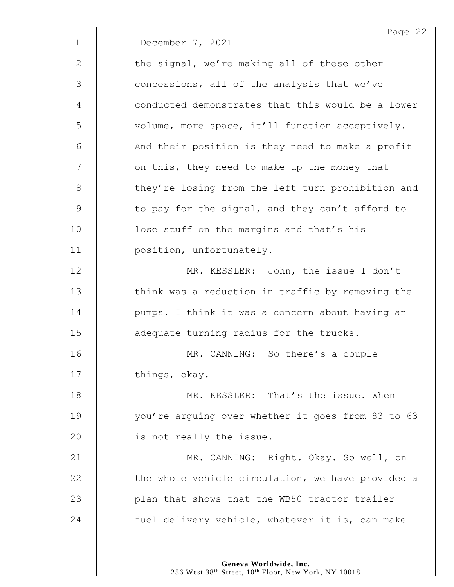|              | Page 22                                           |
|--------------|---------------------------------------------------|
| $\mathbf 1$  | December 7, 2021                                  |
| $\mathbf{2}$ | the signal, we're making all of these other       |
| 3            | concessions, all of the analysis that we've       |
| 4            | conducted demonstrates that this would be a lower |
| 5            | volume, more space, it'll function acceptively.   |
| 6            | And their position is they need to make a profit  |
| 7            | on this, they need to make up the money that      |
| 8            | they're losing from the left turn prohibition and |
| 9            | to pay for the signal, and they can't afford to   |
| 10           | lose stuff on the margins and that's his          |
| 11           | position, unfortunately.                          |
| 12           | MR. KESSLER: John, the issue I don't              |
| 13           | think was a reduction in traffic by removing the  |
| 14           | pumps. I think it was a concern about having an   |
| 15           | adequate turning radius for the trucks.           |
| 16           | MR. CANNING: So there's a couple                  |
| 17           | things, okay.                                     |
| 18           | MR. KESSLER: That's the issue. When               |
| 19           | you're arguing over whether it goes from 83 to 63 |
| 20           | is not really the issue.                          |
| 21           | MR. CANNING: Right. Okay. So well, on             |
| 22           | the whole vehicle circulation, we have provided a |
| 23           | plan that shows that the WB50 tractor trailer     |
| 24           | fuel delivery vehicle, whatever it is, can make   |
|              |                                                   |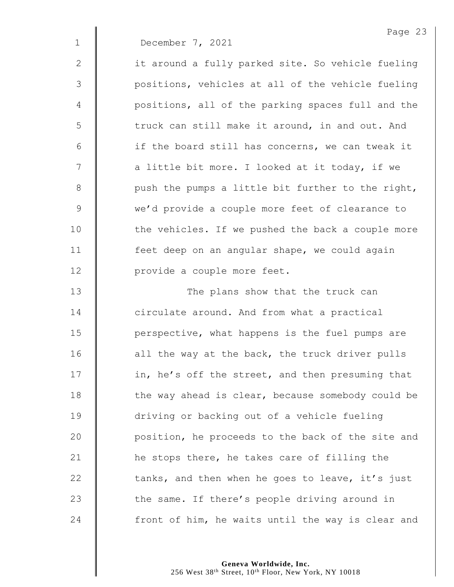1 December 7, 2021

2 | it around a fully parked site. So vehicle fueling 3 | positions, vehicles at all of the vehicle fueling 4 | positions, all of the parking spaces full and the 5 | truck can still make it around, in and out. And 6  $\parallel$  if the board still has concerns, we can tweak it  $7 \parallel$  a little bit more. I looked at it today, if we  $8$  | push the pumps a little bit further to the right, 9 we'd provide a couple more feet of clearance to 10 | the vehicles. If we pushed the back a couple more 11 | feet deep on an angular shape, we could again 12 | provide a couple more feet.

13 || The plans show that the truck can **circulate around.** And from what a practical 15 | perspective, what happens is the fuel pumps are | all the way at the back, the truck driver pulls 17 | in, he's off the street, and then presuming that 18 The way ahead is clear, because somebody could be driving or backing out of a vehicle fueling **position, he proceeds to the back of the site and h** he stops there, he takes care of filling the  $\parallel$  tanks, and then when he goes to leave, it's just  $\parallel$  the same. If there's people driving around in | front of him, he waits until the way is clear and

> **Geneva Worldwide, Inc.** 256 West 38<sup>th</sup> Street, 10<sup>th</sup> Floor, New York, NY 10018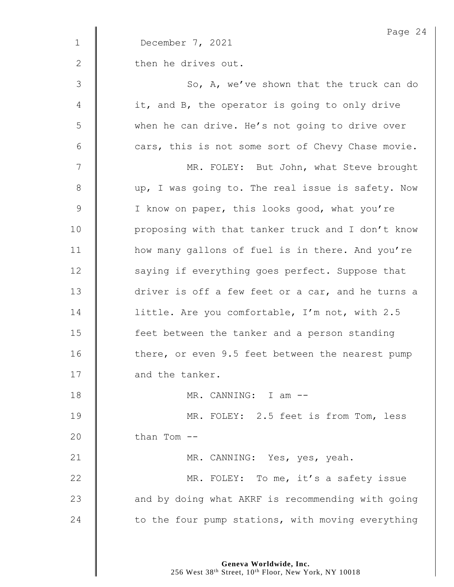|               | Page 24                                           |
|---------------|---------------------------------------------------|
| $\mathbf{1}$  | December 7, 2021                                  |
| 2             | then he drives out.                               |
| $\mathcal{S}$ | So, A, we've shown that the truck can do          |
| 4             | it, and B, the operator is going to only drive    |
| 5             | when he can drive. He's not going to drive over   |
| 6             | cars, this is not some sort of Chevy Chase movie. |
| 7             | MR. FOLEY: But John, what Steve brought           |
| 8             | up, I was going to. The real issue is safety. Now |
| $\mathsf 9$   | I know on paper, this looks good, what you're     |
| 10            | proposing with that tanker truck and I don't know |
| 11            | how many gallons of fuel is in there. And you're  |
| 12            | saying if everything goes perfect. Suppose that   |
| 13            | driver is off a few feet or a car, and he turns a |
| 14            | little. Are you comfortable, I'm not, with 2.5    |
| 15            | feet between the tanker and a person standing     |
| 16            | there, or even 9.5 feet between the nearest pump  |
| 17            | and the tanker.                                   |
| 18            | MR. CANNING: I am --                              |
| 19            | MR. FOLEY: 2.5 feet is from Tom, less             |
| 20            | than Tom --                                       |
| 21            | MR. CANNING: Yes, yes, yeah.                      |
| 22            | MR. FOLEY: To me, it's a safety issue             |
| 23            | and by doing what AKRF is recommending with going |
| 24            | to the four pump stations, with moving everything |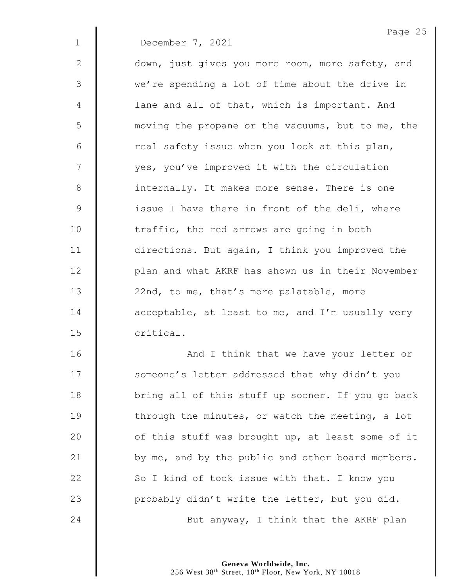1 December 7, 2021

Page 25

| $\mathbf{2}$ | down, just gives you more room, more safety, and  |
|--------------|---------------------------------------------------|
| 3            | we're spending a lot of time about the drive in   |
| 4            | lane and all of that, which is important. And     |
| 5            | moving the propane or the vacuums, but to me, the |
| 6            | real safety issue when you look at this plan,     |
| 7            | yes, you've improved it with the circulation      |
| 8            | internally. It makes more sense. There is one     |
| $\mathsf 9$  | issue I have there in front of the deli, where    |
| 10           | traffic, the red arrows are going in both         |
| 11           | directions. But again, I think you improved the   |
| 12           | plan and what AKRF has shown us in their November |
| 13           | 22nd, to me, that's more palatable, more          |
| 14           | acceptable, at least to me, and I'm usually very  |
| 15           | critical.                                         |
| 16           | And I think that we have your letter or           |
| 17           | someone's letter addressed that why didn't you    |
| 18           | bring all of this stuff up sooner. If you go back |
| 19           | through the minutes, or watch the meeting, a lot  |
| 20           | of this stuff was brought up, at least some of it |
| 21           | by me, and by the public and other board members. |
| 22           | So I kind of took issue with that. I know you     |
| 23           | probably didn't write the letter, but you did.    |

**But anyway, I think that the AKRF plan**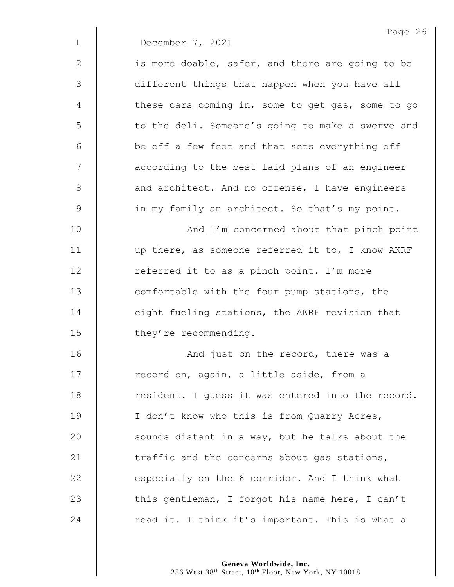|              | Page 26                                           |
|--------------|---------------------------------------------------|
| $\mathbf{1}$ | December 7, 2021                                  |
| $\mathbf{2}$ | is more doable, safer, and there are going to be  |
| 3            | different things that happen when you have all    |
| 4            | these cars coming in, some to get gas, some to go |
| 5            | to the deli. Someone's going to make a swerve and |
| 6            | be off a few feet and that sets everything off    |
| 7            | according to the best laid plans of an engineer   |
| $8\,$        | and architect. And no offense, I have engineers   |
| 9            | in my family an architect. So that's my point.    |
| 10           | And I'm concerned about that pinch point          |
| 11           | up there, as someone referred it to, I know AKRF  |
| 12           | referred it to as a pinch point. I'm more         |
| 13           | comfortable with the four pump stations, the      |
| 14           | eight fueling stations, the AKRF revision that    |
| 15           | they're recommending.                             |
| 16           | And just on the record, there was a               |
| 17           | record on, again, a little aside, from a          |
| 18           | resident. I guess it was entered into the record. |
| 19           | I don't know who this is from Quarry Acres,       |
| 20           | sounds distant in a way, but he talks about the   |
| 21           | traffic and the concerns about gas stations,      |
| 22           | especially on the 6 corridor. And I think what    |
| 23           | this gentleman, I forgot his name here, I can't   |
| 24           | read it. I think it's important. This is what a   |
|              |                                                   |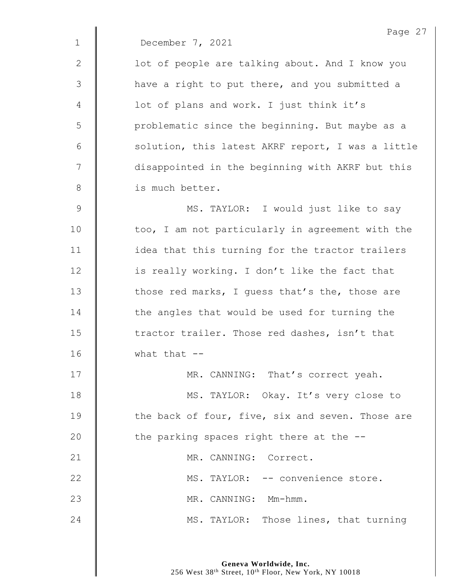|             | Page 27                                           |
|-------------|---------------------------------------------------|
| $\mathbf 1$ | December 7, 2021                                  |
| $\mathbf 2$ | lot of people are talking about. And I know you   |
| 3           | have a right to put there, and you submitted a    |
| 4           | lot of plans and work. I just think it's          |
| 5           | problematic since the beginning. But maybe as a   |
| 6           | solution, this latest AKRF report, I was a little |
| 7           | disappointed in the beginning with AKRF but this  |
| $8\,$       | is much better.                                   |
| $\mathsf 9$ | MS. TAYLOR: I would just like to say              |
| 10          | too, I am not particularly in agreement with the  |
| 11          | idea that this turning for the tractor trailers   |
| 12          | is really working. I don't like the fact that     |
| 13          | those red marks, I guess that's the, those are    |
| 14          | the angles that would be used for turning the     |
| 15          | tractor trailer. Those red dashes, isn't that     |
| 16          | what that $--$                                    |
| 17          | MR. CANNING:<br>That's correct yeah.              |

18 | MS. TAYLOR: Okay. It's very close to  $\parallel$  the back of four, five, six and seven. Those are  $\parallel$  the parking spaces right there at the  $-$ -21 | MR. CANNING: Correct. 22 | MS. TAYLOR: -- convenience store. **MR. CANNING: Mm-hmm.** 24 MS. TAYLOR: Those lines, that turning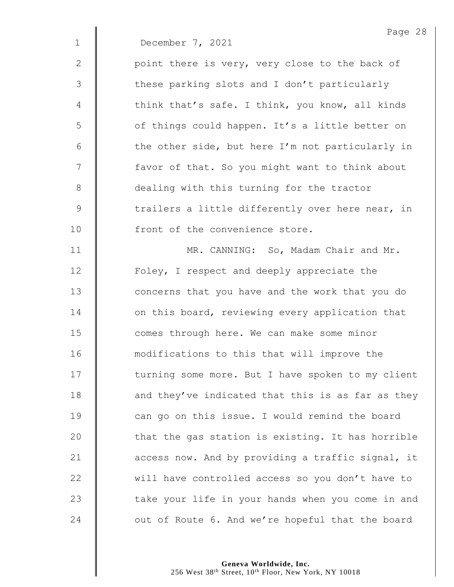|                | Page 28                                           |
|----------------|---------------------------------------------------|
| $\mathbf{1}$   | December 7, 2021                                  |
| 2              | point there is very, very close to the back of    |
| $\mathfrak{Z}$ | these parking slots and I don't particularly      |
| 4              | think that's safe. I think, you know, all kinds   |
| 5              | of things could happen. It's a little better on   |
| 6              | the other side, but here I'm not particularly in  |
| 7              | favor of that. So you might want to think about   |
| 8              | dealing with this turning for the tractor         |
| $\mathsf 9$    | trailers a little differently over here near, in  |
| 10             | front of the convenience store.                   |
| 11             | MR. CANNING: So, Madam Chair and Mr.              |
| 12             | Foley, I respect and deeply appreciate the        |
| 13             | concerns that you have and the work that you do   |
| 14             | on this board, reviewing every application that   |
| 15             | comes through here. We can make some minor        |
| 16             | modifications to this that will improve the       |
| 17             | turning some more. But I have spoken to my client |
| 18             | and they've indicated that this is as far as they |
| 19             | can go on this issue. I would remind the board    |
| 20             | that the gas station is existing. It has horrible |
| 21             | access now. And by providing a traffic signal, it |
| 22             | will have controlled access so you don't have to  |
| 23             | take your life in your hands when you come in and |
| 24             | out of Route 6. And we're hopeful that the board  |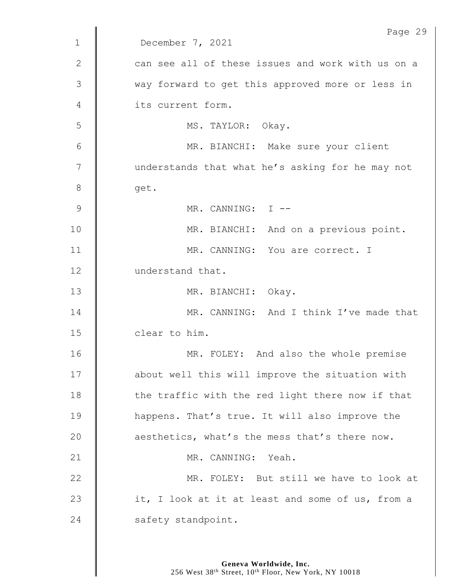|              | Page 29                                           |
|--------------|---------------------------------------------------|
| $\mathbf{1}$ | December 7, 2021                                  |
| 2            | can see all of these issues and work with us on a |
| 3            | way forward to get this approved more or less in  |
| 4            | its current form.                                 |
| 5            | MS. TAYLOR: Okay.                                 |
| 6            | MR. BIANCHI: Make sure your client                |
| 7            | understands that what he's asking for he may not  |
| $8\,$        | get.                                              |
| 9            | MR. CANNING: I --                                 |
| 10           | MR. BIANCHI: And on a previous point.             |
| 11           | MR. CANNING: You are correct. I                   |
| 12           | understand that.                                  |
| 13           | MR. BIANCHI: Okay.                                |
| 14           | MR. CANNING: And I think I've made that           |
| 15           | clear to him.                                     |
| 16           | MR. FOLEY: And also the whole premise             |
| 17           | about well this will improve the situation with   |
| 18           | the traffic with the red light there now if that  |
| 19           | happens. That's true. It will also improve the    |
| 20           | aesthetics, what's the mess that's there now.     |
| 21           | MR. CANNING: Yeah.                                |
| 22           | MR. FOLEY: But still we have to look at           |
| 23           | it, I look at it at least and some of us, from a  |
| 24           | safety standpoint.                                |
|              |                                                   |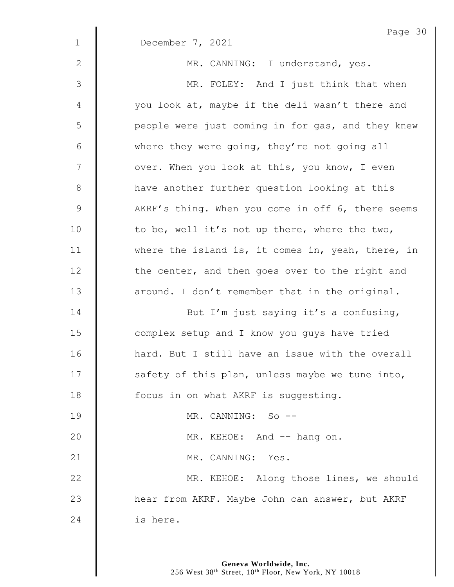|               | Page 30                                           |
|---------------|---------------------------------------------------|
| $\mathbf 1$   | December 7, 2021                                  |
| 2             | MR. CANNING: I understand, yes.                   |
| $\mathcal{S}$ | MR. FOLEY: And I just think that when             |
| 4             | you look at, maybe if the deli wasn't there and   |
| 5             | people were just coming in for gas, and they knew |
| 6             | where they were going, they're not going all      |
| 7             | over. When you look at this, you know, I even     |
| $8\,$         | have another further question looking at this     |
| $\mathsf 9$   | AKRF's thing. When you come in off 6, there seems |
| 10            | to be, well it's not up there, where the two,     |
| 11            | where the island is, it comes in, yeah, there, in |
| 12            | the center, and then goes over to the right and   |
| 13            | around. I don't remember that in the original.    |
| 14            | But I'm just saying it's a confusing,             |
| 15            | complex setup and I know you guys have tried      |
| 16            | hard. But I still have an issue with the overall  |
| 17            | safety of this plan, unless maybe we tune into,   |
| 18            | focus in on what AKRF is suggesting.              |
| 19            | MR. CANNING: So --                                |
| 20            | MR. KEHOE: And -- hang on.                        |
| 21            | MR. CANNING: Yes.                                 |
| 22            | MR. KEHOE: Along those lines, we should           |
| 23            | hear from AKRF. Maybe John can answer, but AKRF   |
| 24            | is here.                                          |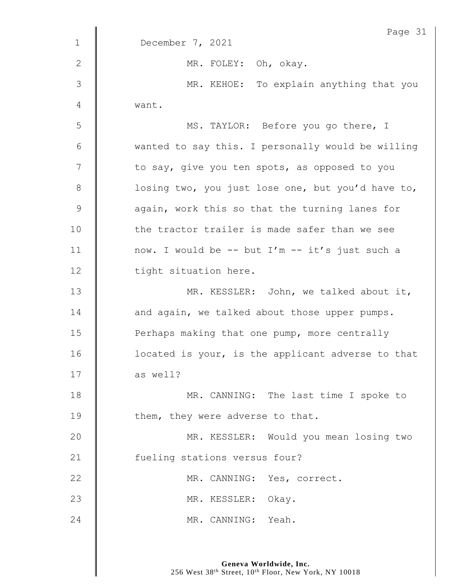| $\mathbf 1$    | Page 31<br>December 7, 2021                       |
|----------------|---------------------------------------------------|
|                |                                                   |
| $\mathbf{2}$   | MR. FOLEY: Oh, okay.                              |
| $\mathfrak{Z}$ | MR. KEHOE: To explain anything that you           |
| 4              | want.                                             |
| 5              | MS. TAYLOR: Before you go there, I                |
| 6              | wanted to say this. I personally would be willing |
| 7              | to say, give you ten spots, as opposed to you     |
| $8\,$          | losing two, you just lose one, but you'd have to, |
| $\mathsf 9$    | again, work this so that the turning lanes for    |
| 10             | the tractor trailer is made safer than we see     |
| 11             | now. I would be -- but I'm -- it's just such a    |
| 12             | tight situation here.                             |
| 13             | MR. KESSLER: John, we talked about it,            |
| 14             | and again, we talked about those upper pumps.     |
| 15             | Perhaps making that one pump, more centrally      |
| 16             | located is your, is the applicant adverse to that |
| 17             | as well?                                          |
| 18             | MR. CANNING: The last time I spoke to             |
| 19             | them, they were adverse to that.                  |
| 20             | MR. KESSLER: Would you mean losing two            |
| 21             | fueling stations versus four?                     |
| 22             | MR. CANNING: Yes, correct.                        |
| 23             | MR. KESSLER: Okay.                                |
| 24             | MR. CANNING: Yeah.                                |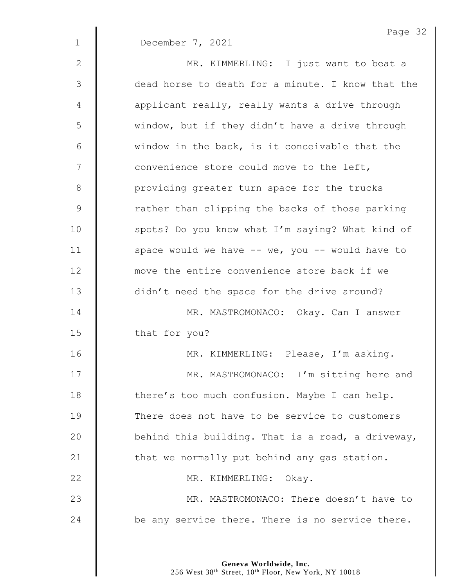|              | Page 32                                             |
|--------------|-----------------------------------------------------|
| $\mathbf 1$  | December 7, 2021                                    |
| $\mathbf{2}$ | MR. KIMMERLING: I just want to beat a               |
| 3            | dead horse to death for a minute. I know that the   |
| 4            | applicant really, really wants a drive through      |
| 5            | window, but if they didn't have a drive through     |
| $\epsilon$   | window in the back, is it conceivable that the      |
| 7            | convenience store could move to the left,           |
| $8\,$        | providing greater turn space for the trucks         |
| $\mathsf 9$  | rather than clipping the backs of those parking     |
| 10           | spots? Do you know what I'm saying? What kind of    |
| 11           | space would we have $--$ we, you $--$ would have to |
| 12           | move the entire convenience store back if we        |
| 13           | didn't need the space for the drive around?         |
| 14           | MR. MASTROMONACO: Okay. Can I answer                |
| 15           | that for you?                                       |
| 16           | MR. KIMMERLING: Please, I'm asking.                 |
| 17           | MR. MASTROMONACO: I'm sitting here and              |
| 18           | there's too much confusion. Maybe I can help.       |
| 19           | There does not have to be service to customers      |
| 20           | behind this building. That is a road, a driveway,   |
| 21           | that we normally put behind any gas station.        |
| 22           | MR. KIMMERLING: Okay.                               |
| 23           | MR. MASTROMONACO: There doesn't have to             |
| 24           | be any service there. There is no service there.    |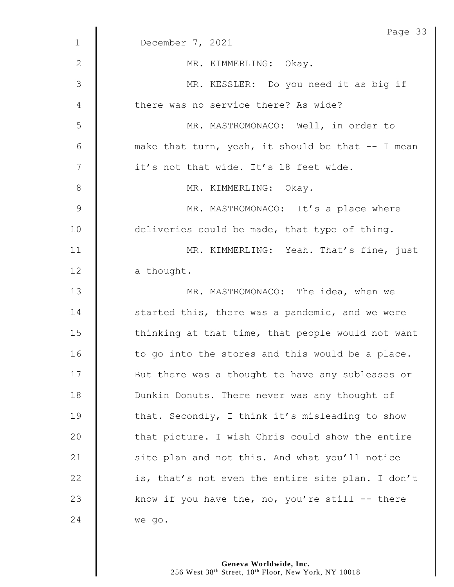| $\mathbf 1$ | Page 33                                            |
|-------------|----------------------------------------------------|
|             | December 7, 2021                                   |
| 2           | MR. KIMMERLING: Okay.                              |
| 3           | MR. KESSLER: Do you need it as big if              |
| 4           | there was no service there? As wide?               |
| 5           | MR. MASTROMONACO: Well, in order to                |
| $6\,$       | make that turn, yeah, it should be that -- I mean  |
| 7           | it's not that wide. It's 18 feet wide.             |
| $8\,$       | MR. KIMMERLING: Okay.                              |
| 9           | MR. MASTROMONACO: It's a place where               |
| 10          | deliveries could be made, that type of thing.      |
| 11          | MR. KIMMERLING: Yeah. That's fine, just            |
| 12          | a thought.                                         |
| 13          | MR. MASTROMONACO: The idea, when we                |
| 14          | started this, there was a pandemic, and we were    |
| 15          | thinking at that time, that people would not want  |
| 16          | to go into the stores and this would be a place.   |
| 17          | But there was a thought to have any subleases or   |
| 18          | Dunkin Donuts. There never was any thought of      |
| 19          | that. Secondly, I think it's misleading to show    |
| 20          | that picture. I wish Chris could show the entire   |
| 21          | site plan and not this. And what you'll notice     |
| 22          | is, that's not even the entire site plan. I don't  |
| 23          | know if you have the, no, you're still $-$ - there |
| 24          | we go.                                             |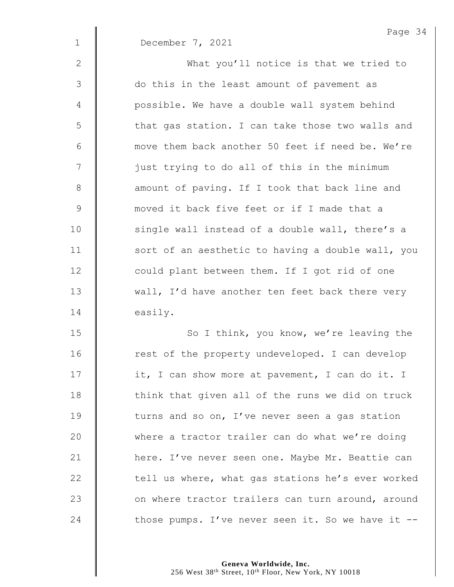|               | Page $34$                                         |
|---------------|---------------------------------------------------|
| $\mathbf 1$   | December 7, 2021                                  |
| 2             | What you'll notice is that we tried to            |
| $\mathcal{S}$ | do this in the least amount of pavement as        |
| 4             | possible. We have a double wall system behind     |
| 5             | that gas station. I can take those two walls and  |
| 6             | move them back another 50 feet if need be. We're  |
| 7             | just trying to do all of this in the minimum      |
| $\,8\,$       | amount of paving. If I took that back line and    |
| $\mathsf 9$   | moved it back five feet or if I made that a       |
| 10            | single wall instead of a double wall, there's a   |
| 11            | sort of an aesthetic to having a double wall, you |
| 12            | could plant between them. If I got rid of one     |
| 13            | wall, I'd have another ten feet back there very   |
| 14            | easily.                                           |
| 15            | So I think, you know, we're leaving the           |
| 16            | rest of the property undeveloped. I can develop   |
| 17            | it, I can show more at pavement, I can do it. I   |
| 18            | think that given all of the runs we did on truck  |
| 19            | turns and so on, I've never seen a gas station    |
| 20            | where a tractor trailer can do what we're doing   |
| 21            | here. I've never seen one. Maybe Mr. Beattie can  |
| 22            | tell us where, what gas stations he's ever worked |
| 23            | on where tractor trailers can turn around, around |
| 24            | those pumps. I've never seen it. So we have it -- |

Page 34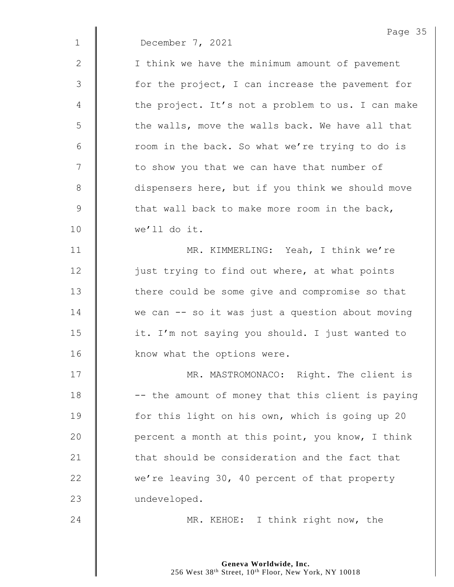1 December 7, 2021

2 | I think we have the minimum amount of pavement  $3 \parallel$  for the project, I can increase the pavement for 4 | the project. It's not a problem to us. I can make 5  $\parallel$  the walls, move the walls back. We have all that  $6 \parallel$  room in the back. So what we're trying to do is 7 || to show you that we can have that number of 8 dispensers here, but if you think we should move  $9 \parallel$  that wall back to make more room in the back, 10 we'll do it.

11 | MR. KIMMERLING: Yeah, I think we're 12 | just trying to find out where, at what points 13 | there could be some give and compromise so that 14 We can -- so it was just a question about moving 15 | it. I'm not saying you should. I just wanted to 16 **know** what the options were.

17 | MR. MASTROMONACO: Right. The client is 18  $\parallel$  -- the amount of money that this client is paying 19 **for this light on his own, which is going up 20** 20  $\parallel$  percent a month at this point, you know, I think 21 **that should be consideration and the fact that** 22 we're leaving 30, 40 percent of that property 23 | undeveloped.

24 **MR. KEHOE:** I think right now, the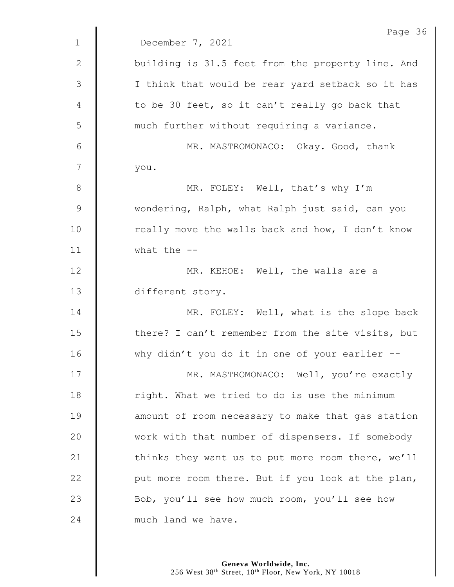|               | Page 36                                           |
|---------------|---------------------------------------------------|
| $\mathbf{1}$  | December 7, 2021                                  |
| $\mathbf{2}$  | building is 31.5 feet from the property line. And |
| $\mathcal{S}$ | I think that would be rear yard setback so it has |
| 4             | to be 30 feet, so it can't really go back that    |
| 5             | much further without requiring a variance.        |
| 6             | MR. MASTROMONACO: Okay. Good, thank               |
| 7             | you.                                              |
| $8\,$         | MR. FOLEY: Well, that's why I'm                   |
| 9             | wondering, Ralph, what Ralph just said, can you   |
| 10            | really move the walls back and how, I don't know  |
| 11            | what the $--$                                     |
| 12            | MR. KEHOE: Well, the walls are a                  |
| 13            | different story.                                  |
| 14            | MR. FOLEY: Well, what is the slope back           |
| 15            | there? I can't remember from the site visits, but |
| 16            | why didn't you do it in one of your earlier --    |
| 17            | MR. MASTROMONACO: Well, you're exactly            |
| 18            | right. What we tried to do is use the minimum     |
| 19            | amount of room necessary to make that gas station |
| 20            | work with that number of dispensers. If somebody  |
| 21            | thinks they want us to put more room there, we'll |
| 22            | put more room there. But if you look at the plan, |
| 23            | Bob, you'll see how much room, you'll see how     |
| 24            | much land we have.                                |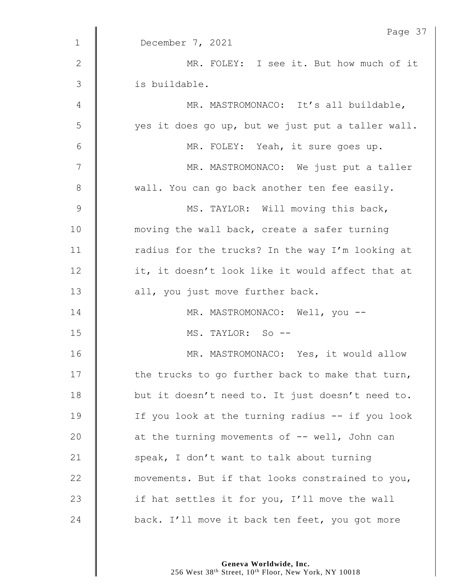|               | Page 37                                           |
|---------------|---------------------------------------------------|
| $\mathbf{1}$  | December 7, 2021                                  |
| $\mathbf{2}$  | MR. FOLEY: I see it. But how much of it           |
| 3             | is buildable.                                     |
| 4             | MR. MASTROMONACO: It's all buildable,             |
| 5             | yes it does go up, but we just put a taller wall. |
| 6             | MR. FOLEY: Yeah, it sure goes up.                 |
| 7             | MR. MASTROMONACO: We just put a taller            |
| 8             | wall. You can go back another ten fee easily.     |
| $\mathcal{G}$ | MS. TAYLOR: Will moving this back,                |
| 10            | moving the wall back, create a safer turning      |
| 11            | radius for the trucks? In the way I'm looking at  |
| 12            | it, it doesn't look like it would affect that at  |
| 13            | all, you just move further back.                  |
| 14            | MR. MASTROMONACO: Well, you --                    |
| 15            | MS. TAYLOR: So --                                 |
| 16            | MR. MASTROMONACO: Yes, it would allow             |
| 17            | the trucks to go further back to make that turn,  |
| 18            | but it doesn't need to. It just doesn't need to.  |
| 19            | If you look at the turning radius -- if you look  |
| 20            | at the turning movements of -- well, John can     |
| 21            | speak, I don't want to talk about turning         |
| 22            | movements. But if that looks constrained to you,  |
| 23            | if hat settles it for you, I'll move the wall     |
| 24            | back. I'll move it back ten feet, you got more    |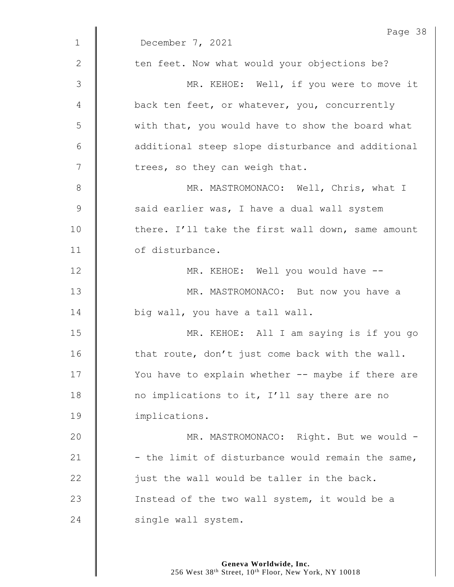|              | Page 38                                           |
|--------------|---------------------------------------------------|
| $\mathbf 1$  | December 7, 2021                                  |
| $\mathbf{2}$ | ten feet. Now what would your objections be?      |
| 3            | MR. KEHOE: Well, if you were to move it           |
| 4            | back ten feet, or whatever, you, concurrently     |
| 5            | with that, you would have to show the board what  |
| $6\,$        | additional steep slope disturbance and additional |
| 7            | trees, so they can weigh that.                    |
| $8\,$        | MR. MASTROMONACO: Well, Chris, what I             |
| $\mathsf 9$  | said earlier was, I have a dual wall system       |
| 10           | there. I'll take the first wall down, same amount |
| 11           | of disturbance.                                   |
| 12           | MR. KEHOE: Well you would have --                 |
| 13           | MR. MASTROMONACO: But now you have a              |
| 14           | big wall, you have a tall wall.                   |
| 15           | MR. KEHOE: All I am saying is if you go           |
| 16           | that route, don't just come back with the wall.   |
| 17           | You have to explain whether -- maybe if there are |
| 18           | no implications to it, I'll say there are no      |
| 19           | implications.                                     |
| 20           | MR. MASTROMONACO: Right. But we would -           |
| 21           | - the limit of disturbance would remain the same, |
| 22           | just the wall would be taller in the back.        |
| 23           | Instead of the two wall system, it would be a     |
| 24           | single wall system.                               |
|              |                                                   |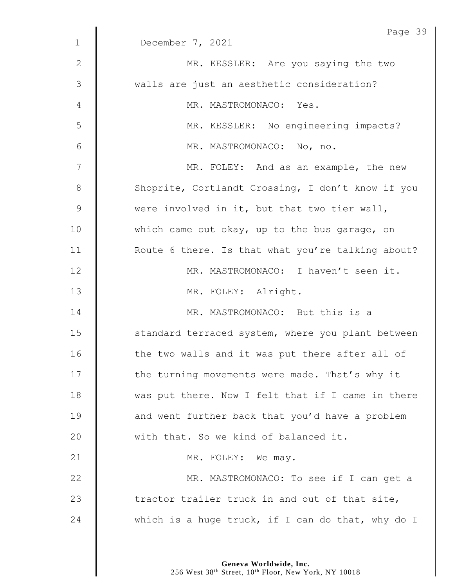| $\mathbf 1$ | Page 39<br>December 7, 2021                       |
|-------------|---------------------------------------------------|
|             |                                                   |
| 2           | MR. KESSLER: Are you saying the two               |
| 3           | walls are just an aesthetic consideration?        |
| 4           | MR. MASTROMONACO: Yes.                            |
| 5           | MR. KESSLER: No engineering impacts?              |
| 6           | MR. MASTROMONACO: No, no.                         |
| 7           | MR. FOLEY: And as an example, the new             |
| $8\,$       | Shoprite, Cortlandt Crossing, I don't know if you |
| $\mathsf 9$ | were involved in it, but that two tier wall,      |
| 10          | which came out okay, up to the bus garage, on     |
| 11          | Route 6 there. Is that what you're talking about? |
| 12          | MR. MASTROMONACO: I haven't seen it.              |
| 13          | MR. FOLEY: Alright.                               |
| 14          | MR. MASTROMONACO: But this is a                   |
| 15          | standard terraced system, where you plant between |
| 16          | the two walls and it was put there after all of   |
| 17          | the turning movements were made. That's why it    |
| 18          | was put there. Now I felt that if I came in there |
| 19          | and went further back that you'd have a problem   |
| 20          | with that. So we kind of balanced it.             |
| 21          | MR. FOLEY: We may.                                |
| 22          | MR. MASTROMONACO: To see if I can get a           |
| 23          | tractor trailer truck in and out of that site,    |
| 24          | which is a huge truck, if I can do that, why do I |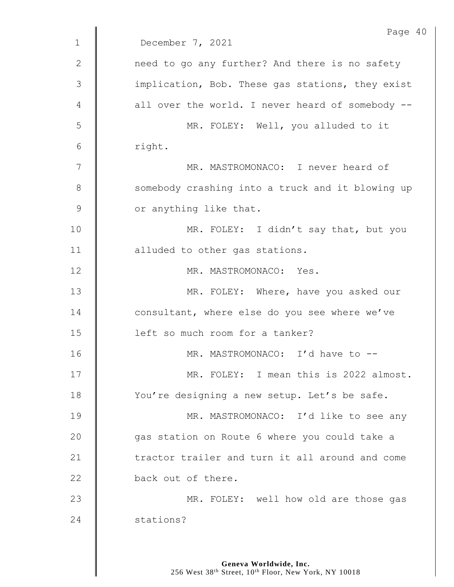|               | Page 40                                          |
|---------------|--------------------------------------------------|
| $\mathbf{1}$  | December 7, 2021                                 |
| $\mathbf{2}$  | need to go any further? And there is no safety   |
| 3             | implication, Bob. These gas stations, they exist |
| 4             | all over the world. I never heard of somebody -- |
| 5             | MR. FOLEY: Well, you alluded to it               |
| 6             | right.                                           |
| 7             | MR. MASTROMONACO: I never heard of               |
| 8             | somebody crashing into a truck and it blowing up |
| $\mathcal{G}$ | or anything like that.                           |
| 10            | MR. FOLEY: I didn't say that, but you            |
| 11            | alluded to other gas stations.                   |
| 12            | MR. MASTROMONACO: Yes.                           |
| 13            | MR. FOLEY: Where, have you asked our             |
| 14            | consultant, where else do you see where we've    |
| 15            | left so much room for a tanker?                  |
| 16            | MR. MASTROMONACO: I'd have to --                 |
| 17            | MR. FOLEY: I mean this is 2022 almost.           |
| 18            | You're designing a new setup. Let's be safe.     |
| 19            | MR. MASTROMONACO: I'd like to see any            |
| 20            | gas station on Route 6 where you could take a    |
| 21            | tractor trailer and turn it all around and come  |
| 22            | back out of there.                               |
| 23            | MR. FOLEY: well how old are those gas            |
| 24            | stations?                                        |
|               |                                                  |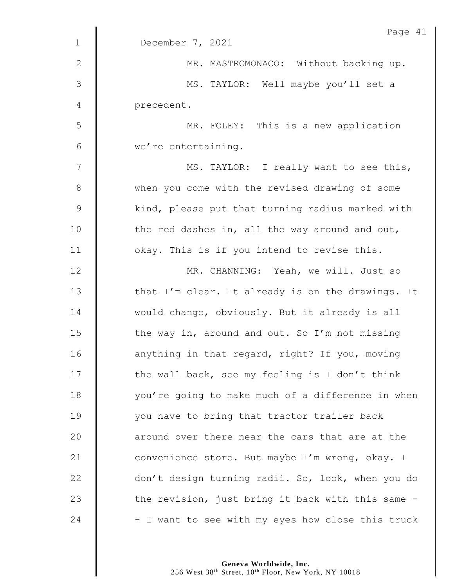|                 | Page 41                                           |
|-----------------|---------------------------------------------------|
| $\mathbf{1}$    | December 7, 2021                                  |
| $\mathbf{2}$    | MR. MASTROMONACO: Without backing up.             |
| 3               | MS. TAYLOR: Well maybe you'll set a               |
| 4               | precedent.                                        |
| 5               | MR. FOLEY: This is a new application              |
| $6\phantom{1}6$ | we're entertaining.                               |
| 7               | MS. TAYLOR: I really want to see this,            |
| $\,8\,$         | when you come with the revised drawing of some    |
| $\mathcal{G}$   | kind, please put that turning radius marked with  |
| 10              | the red dashes in, all the way around and out,    |
| 11              | okay. This is if you intend to revise this.       |
| 12              | MR. CHANNING: Yeah, we will. Just so              |
| 13              | that I'm clear. It already is on the drawings. It |
| 14              | would change, obviously. But it already is all    |
| 15              | the way in, around and out. So I'm not missing    |
| 16              | anything in that regard, right? If you, moving    |
| 17              | the wall back, see my feeling is I don't think    |
| 18              | you're going to make much of a difference in when |
| 19              | you have to bring that tractor trailer back       |
| 20              | around over there near the cars that are at the   |
| 21              | convenience store. But maybe I'm wrong, okay. I   |
| 22              | don't design turning radii. So, look, when you do |
| 23              | the revision, just bring it back with this same - |
| 24              | - I want to see with my eyes how close this truck |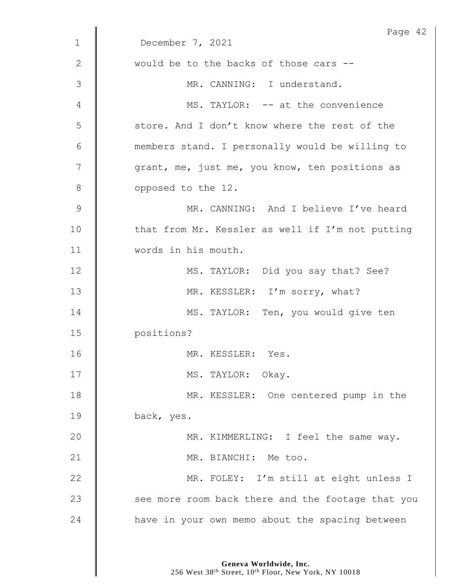|              | Page 42                                           |
|--------------|---------------------------------------------------|
| $\mathbf{1}$ | December 7, 2021                                  |
| $\mathbf{2}$ | would be to the backs of those cars --            |
| 3            | MR. CANNING: I understand.                        |
| 4            | MS. TAYLOR: -- at the convenience                 |
| 5            | store. And I don't know where the rest of the     |
| 6            | members stand. I personally would be willing to   |
| 7            | grant, me, just me, you know, ten positions as    |
| 8            | opposed to the 12.                                |
| 9            | MR. CANNING: And I believe I've heard             |
| 10           | that from Mr. Kessler as well if I'm not putting  |
| 11           | words in his mouth.                               |
| 12           | MS. TAYLOR: Did you say that? See?                |
| 13           | MR. KESSLER: I'm sorry, what?                     |
| 14           | MS. TAYLOR: Ten, you would give ten               |
| 15           | positions?                                        |
| 16           | MR. KESSLER: Yes.                                 |
| 17           | MS. TAYLOR: Okay.                                 |
| 18           | MR. KESSLER: One centered pump in the             |
| 19           | back, yes.                                        |
| 20           | MR. KIMMERLING: I feel the same way.              |
| 21           | MR. BIANCHI: Me too.                              |
| 22           | MR. FOLEY: I'm still at eight unless I            |
| 23           | see more room back there and the footage that you |
| 24           | have in your own memo about the spacing between   |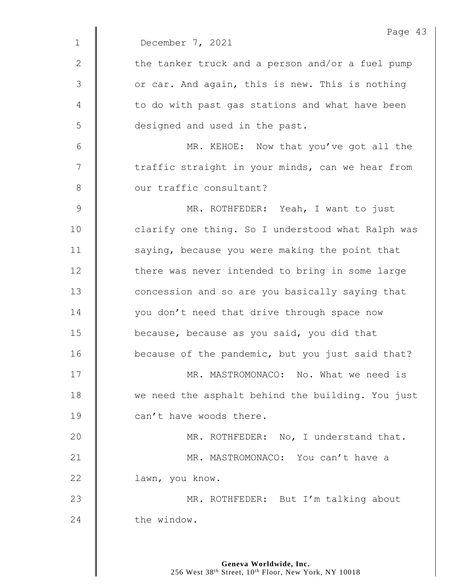|             | Page 43                                           |
|-------------|---------------------------------------------------|
| $\mathbf 1$ | December 7, 2021                                  |
| 2           | the tanker truck and a person and/or a fuel pump  |
| 3           | or car. And again, this is new. This is nothing   |
| 4           | to do with past gas stations and what have been   |
| 5           | designed and used in the past.                    |
| 6           | MR. KEHOE: Now that you've got all the            |
| 7           | traffic straight in your minds, can we hear from  |
| $8\,$       | our traffic consultant?                           |
| 9           | MR. ROTHFEDER: Yeah, I want to just               |
| 10          | clarify one thing. So I understood what Ralph was |
| 11          | saying, because you were making the point that    |
| 12          | there was never intended to bring in some large   |
| 13          | concession and so are you basically saying that   |
| 14          | you don't need that drive through space now       |
| 15          | because, because as you said, you did that        |
| 16          | because of the pandemic, but you just said that?  |
| 17          | MR. MASTROMONACO: No. What we need is             |
| 18          | we need the asphalt behind the building. You just |
| 19          | can't have woods there.                           |
| 20          | MR. ROTHFEDER: No, I understand that.             |
| 21          | MR. MASTROMONACO: You can't have a                |
| 22          | lawn, you know.                                   |
| 23          | MR. ROTHFEDER: But I'm talking about              |
| 24          | the window.                                       |
|             |                                                   |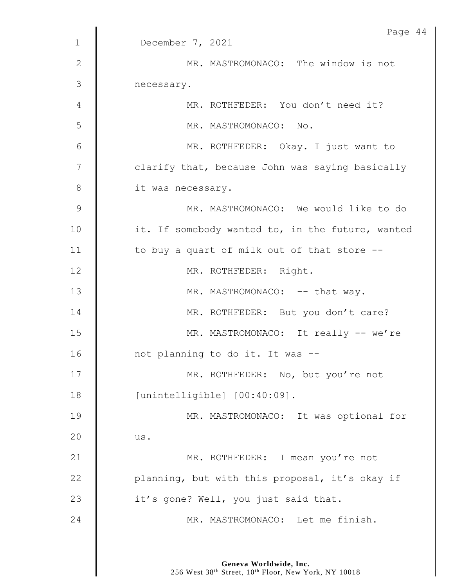|                | Page 44                                          |
|----------------|--------------------------------------------------|
| $\mathbf{1}$   | December 7, 2021                                 |
| $\mathbf{2}$   | MR. MASTROMONACO: The window is not              |
| 3              | necessary.                                       |
| 4              | MR. ROTHFEDER: You don't need it?                |
| 5              | MR. MASTROMONACO: No.                            |
| $6\,$          | MR. ROTHFEDER: Okay. I just want to              |
| $\overline{7}$ | clarify that, because John was saying basically  |
| $8\,$          | it was necessary.                                |
| $\mathcal{G}$  | MR. MASTROMONACO: We would like to do            |
| 10             | it. If somebody wanted to, in the future, wanted |
| 11             | to buy a quart of milk out of that store --      |
| 12             | MR. ROTHFEDER: Right.                            |
| 13             | MR. MASTROMONACO: -- that way.                   |
| 14             | MR. ROTHFEDER: But you don't care?               |
| 15             | MR. MASTROMONACO: It really -- we're             |
| 16             | not planning to do it. It was --                 |
| 17             | MR. ROTHFEDER: No, but you're not                |
| 18             | [unintelligible] [00:40:09].                     |
| 19             | MR. MASTROMONACO: It was optional for            |
| 20             | us.                                              |
| 21             | MR. ROTHFEDER: I mean you're not                 |
| 22             | planning, but with this proposal, it's okay if   |
| 23             | it's gone? Well, you just said that.             |
| 24             | MR. MASTROMONACO: Let me finish.                 |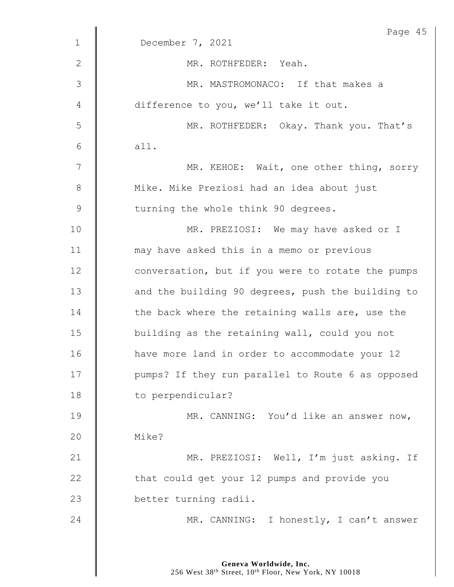|             | Page 45                                           |
|-------------|---------------------------------------------------|
| $\mathbf 1$ | December 7, 2021                                  |
| 2           | MR. ROTHFEDER: Yeah.                              |
| 3           | MR. MASTROMONACO: If that makes a                 |
| 4           | difference to you, we'll take it out.             |
| 5           | MR. ROTHFEDER: Okay. Thank you. That's            |
| 6           | all.                                              |
| 7           | MR. KEHOE: Wait, one other thing, sorry           |
| $8\,$       | Mike. Mike Preziosi had an idea about just        |
| 9           | turning the whole think 90 degrees.               |
| 10          | MR. PREZIOSI: We may have asked or I              |
| 11          | may have asked this in a memo or previous         |
| 12          | conversation, but if you were to rotate the pumps |
| 13          | and the building 90 degrees, push the building to |
| 14          | the back where the retaining walls are, use the   |
| 15          | building as the retaining wall, could you not     |
| 16          | have more land in order to accommodate your 12    |
| 17          | pumps? If they run parallel to Route 6 as opposed |
| 18          | to perpendicular?                                 |
| 19          | MR. CANNING: You'd like an answer now,            |
| 20          | Mike?                                             |
| 21          | MR. PREZIOSI: Well, I'm just asking. If           |
| 22          | that could get your 12 pumps and provide you      |
| 23          | better turning radii.                             |
| 24          | MR. CANNING: I honestly, I can't answer           |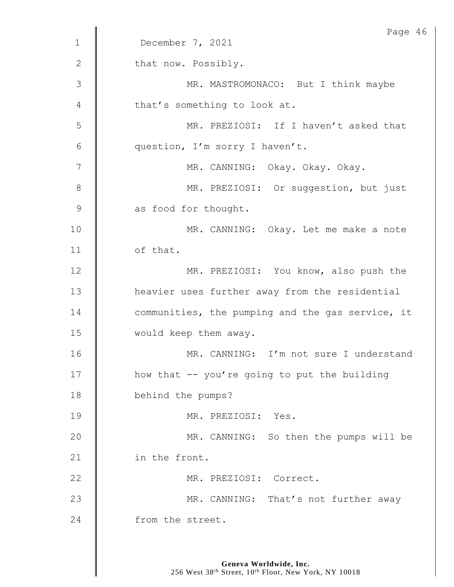|                | Page 46                                          |
|----------------|--------------------------------------------------|
| $\mathbf{1}$   | December 7, 2021                                 |
| 2              | that now. Possibly.                              |
| $\mathfrak{Z}$ | MR. MASTROMONACO: But I think maybe              |
| 4              | that's something to look at.                     |
| 5              | MR. PREZIOSI: If I haven't asked that            |
| 6              | question, I'm sorry I haven't.                   |
| 7              | MR. CANNING: Okay. Okay. Okay.                   |
| 8              | MR. PREZIOSI: Or suggestion, but just            |
| $\mathcal{G}$  | as food for thought.                             |
| 10             | MR. CANNING: Okay. Let me make a note            |
| 11             | of that.                                         |
| 12             | MR. PREZIOSI: You know, also push the            |
| 13             | heavier uses further away from the residential   |
| 14             | communities, the pumping and the gas service, it |
| 15             | would keep them away.                            |
| 16             | MR. CANNING: I'm not sure I understand           |
| 17             | how that -- you're going to put the building     |
| 18             | behind the pumps?                                |
| 19             | MR. PREZIOSI: Yes.                               |
| 20             | MR. CANNING: So then the pumps will be           |
| 21             | in the front.                                    |
| 22             | MR. PREZIOSI: Correct.                           |
| 23             | MR. CANNING: That's not further away             |
| 24             | from the street.                                 |
|                |                                                  |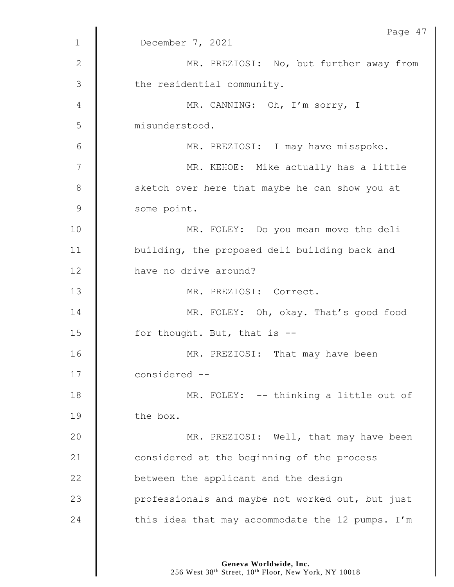|               | Page 47                                          |
|---------------|--------------------------------------------------|
| $\mathbf{1}$  | December 7, 2021                                 |
| $\mathbf{2}$  | MR. PREZIOSI: No, but further away from          |
| 3             | the residential community.                       |
| 4             | MR. CANNING: Oh, I'm sorry, I                    |
| 5             | misunderstood.                                   |
| 6             | MR. PREZIOSI: I may have misspoke.               |
| 7             | MR. KEHOE: Mike actually has a little            |
| $8\,$         | sketch over here that maybe he can show you at   |
| $\mathcal{G}$ | some point.                                      |
| 10            | MR. FOLEY: Do you mean move the deli             |
| 11            | building, the proposed deli building back and    |
| 12            | have no drive around?                            |
| 13            | MR. PREZIOSI: Correct.                           |
| 14            | MR. FOLEY: Oh, okay. That's good food            |
| 15            | for thought. But, that is $-$ -                  |
| 16            | MR. PREZIOSI: That may have been                 |
| 17            | considered --                                    |
| 18            | MR. FOLEY: -- thinking a little out of           |
| 19            | the box.                                         |
| 20            | MR. PREZIOSI: Well, that may have been           |
| 21            | considered at the beginning of the process       |
| 22            | between the applicant and the design             |
| 23            | professionals and maybe not worked out, but just |
| 24            | this idea that may accommodate the 12 pumps. I'm |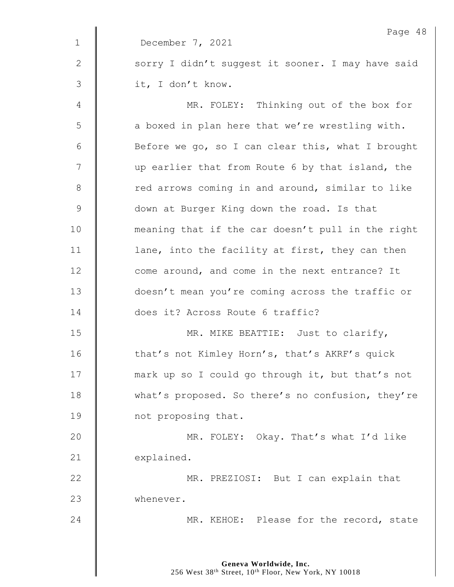|              | Page 48                                           |
|--------------|---------------------------------------------------|
| $\mathbf{1}$ | December 7, 2021                                  |
| $\mathbf{2}$ | sorry I didn't suggest it sooner. I may have said |
| 3            | it, I don't know.                                 |
| 4            | MR. FOLEY: Thinking out of the box for            |
| 5            | a boxed in plan here that we're wrestling with.   |
| 6            | Before we go, so I can clear this, what I brought |
| 7            | up earlier that from Route 6 by that island, the  |
| $8\,$        | red arrows coming in and around, similar to like  |
| $\mathsf 9$  | down at Burger King down the road. Is that        |
| 10           | meaning that if the car doesn't pull in the right |
| 11           | lane, into the facility at first, they can then   |
| 12           | come around, and come in the next entrance? It    |
| 13           | doesn't mean you're coming across the traffic or  |
| 14           | does it? Across Route 6 traffic?                  |
| 15           | MR. MIKE BEATTIE: Just to clarify,                |
| 16           | that's not Kimley Horn's, that's AKRF's quick     |
| 17           | mark up so I could go through it, but that's not  |
| 18           | what's proposed. So there's no confusion, they're |
| 19           | not proposing that.                               |
| 20           | MR. FOLEY: Okay. That's what I'd like             |
| 21           | explained.                                        |
| 22           | MR. PREZIOSI: But I can explain that              |
| 23           | whenever.                                         |
| 24           | MR. KEHOE: Please for the record, state           |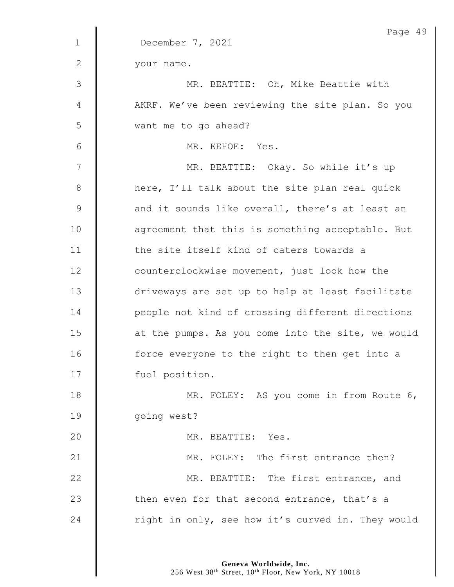|               | Page 49                                           |
|---------------|---------------------------------------------------|
| $\mathbf{1}$  | December 7, 2021                                  |
| 2             | your name.                                        |
| $\mathcal{S}$ | MR. BEATTIE: Oh, Mike Beattie with                |
| 4             | AKRF. We've been reviewing the site plan. So you  |
| 5             | want me to go ahead?                              |
| 6             | MR. KEHOE: Yes.                                   |
| 7             | MR. BEATTIE: Okay. So while it's up               |
| 8             | here, I'll talk about the site plan real quick    |
| $\mathsf 9$   | and it sounds like overall, there's at least an   |
| 10            | agreement that this is something acceptable. But  |
| 11            | the site itself kind of caters towards a          |
| 12            | counterclockwise movement, just look how the      |
| 13            | driveways are set up to help at least facilitate  |
| 14            | people not kind of crossing different directions  |
| 15            | at the pumps. As you come into the site, we would |
| 16            | force everyone to the right to then get into a    |
| 17            | fuel position.                                    |
| 18            | MR. FOLEY: AS you come in from Route 6,           |
| 19            | going west?                                       |
| 20            | MR. BEATTIE: Yes.                                 |
| 21            | MR. FOLEY: The first entrance then?               |
| 22            | MR. BEATTIE: The first entrance, and              |
| 23            | then even for that second entrance, that's a      |
| 24            | right in only, see how it's curved in. They would |
|               |                                                   |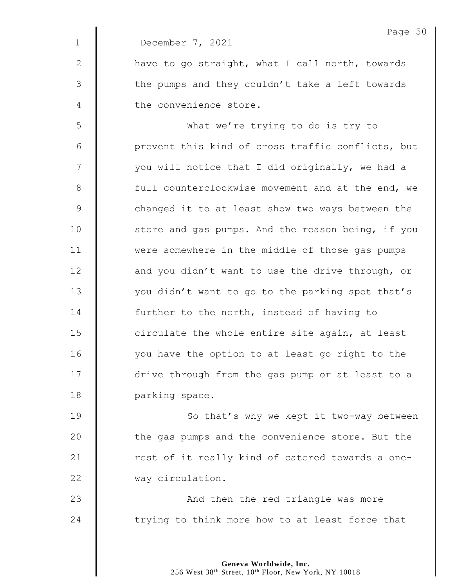|              | Page 50                                           |
|--------------|---------------------------------------------------|
| $\mathbf{1}$ | December 7, 2021                                  |
| 2            | have to go straight, what I call north, towards   |
| 3            | the pumps and they couldn't take a left towards   |
| 4            | the convenience store.                            |
| 5            | What we're trying to do is try to                 |
| 6            | prevent this kind of cross traffic conflicts, but |
| 7            | you will notice that I did originally, we had a   |
| 8            | full counterclockwise movement and at the end, we |
| 9            | changed it to at least show two ways between the  |
| 10           | store and gas pumps. And the reason being, if you |
| 11           | were somewhere in the middle of those gas pumps   |
| 12           | and you didn't want to use the drive through, or  |
| 13           | you didn't want to go to the parking spot that's  |
| 14           | further to the north, instead of having to        |
| 15           | circulate the whole entire site again, at least   |
| 16           | you have the option to at least go right to the   |
| 17           | drive through from the gas pump or at least to a  |
| 18           | parking space.                                    |
| 19           | So that's why we kept it two-way between          |
| 20           | the gas pumps and the convenience store. But the  |
| 21           | rest of it really kind of catered towards a one-  |
| 22           | way circulation.                                  |
|              |                                                   |

23 | And then the red triangle was more  $\parallel$  trying to think more how to at least force that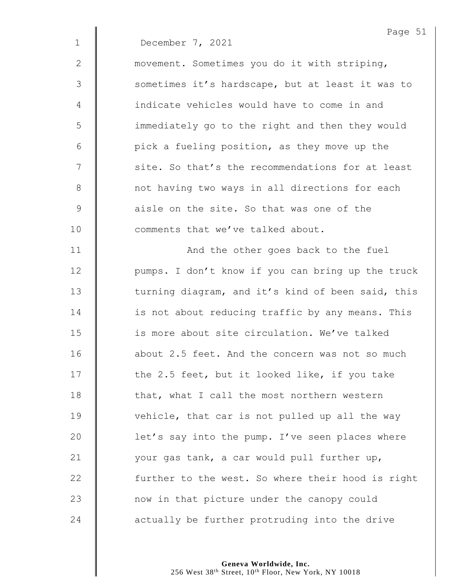|             | Page 51                                           |
|-------------|---------------------------------------------------|
| $\mathbf 1$ | December 7, 2021                                  |
| 2           | movement. Sometimes you do it with striping,      |
| 3           | sometimes it's hardscape, but at least it was to  |
| 4           | indicate vehicles would have to come in and       |
| 5           | immediately go to the right and then they would   |
| 6           | pick a fueling position, as they move up the      |
| 7           | site. So that's the recommendations for at least  |
| 8           | not having two ways in all directions for each    |
| $\mathsf 9$ | aisle on the site. So that was one of the         |
| 10          | comments that we've talked about.                 |
| 11          | And the other goes back to the fuel               |
| 12          | pumps. I don't know if you can bring up the truck |
| 13          | turning diagram, and it's kind of been said, this |
| 14          | is not about reducing traffic by any means. This  |
| 15          | is more about site circulation. We've talked      |
| 16          | about 2.5 feet. And the concern was not so much   |
| 17          | the 2.5 feet, but it looked like, if you take     |
| 18          | that, what I call the most northern western       |
| 19          | vehicle, that car is not pulled up all the way    |
| 20          | let's say into the pump. I've seen places where   |
| 21          | your gas tank, a car would pull further up,       |
| 22          | further to the west. So where their hood is right |
| 23          | now in that picture under the canopy could        |
| 24          | actually be further protruding into the drive     |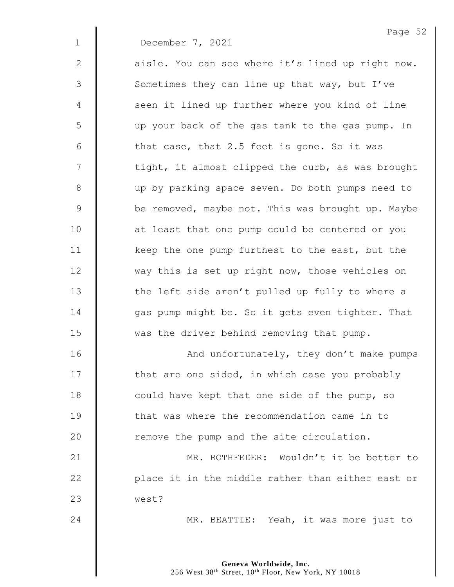|               | Page 52                                           |
|---------------|---------------------------------------------------|
| $\mathbf 1$   | December 7, 2021                                  |
| $\mathbf{2}$  | aisle. You can see where it's lined up right now. |
| $\mathcal{S}$ | Sometimes they can line up that way, but I've     |
| 4             | seen it lined up further where you kind of line   |
| 5             | up your back of the gas tank to the gas pump. In  |
| $6\,$         | that case, that 2.5 feet is gone. So it was       |
| 7             | tight, it almost clipped the curb, as was brought |
| $8\,$         | up by parking space seven. Do both pumps need to  |
| $\mathsf 9$   | be removed, maybe not. This was brought up. Maybe |
| 10            | at least that one pump could be centered or you   |
| 11            | keep the one pump furthest to the east, but the   |
| 12            | way this is set up right now, those vehicles on   |
| 13            | the left side aren't pulled up fully to where a   |
| 14            | gas pump might be. So it gets even tighter. That  |
| 15            | was the driver behind removing that pump.         |
| 16            | And unfortunately, they don't make pumps          |
| 17            | that are one sided, in which case you probably    |
| 18            | could have kept that one side of the pump, so     |
| 19            | that was where the recommendation came in to      |
| 20            | remove the pump and the site circulation.         |
|               |                                                   |

21 | MR. ROTHFEDER: Wouldn't it be better to 22 | place it in the middle rather than either east or west?

24 | MR. BEATTIE: Yeah, it was more just to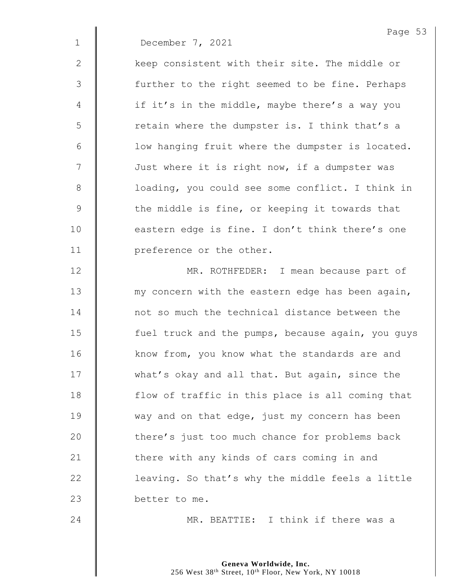|             | Page 53                                           |
|-------------|---------------------------------------------------|
| $\mathbf 1$ | December 7, 2021                                  |
| 2           | keep consistent with their site. The middle or    |
| 3           | further to the right seemed to be fine. Perhaps   |
| 4           | if it's in the middle, maybe there's a way you    |
| 5           | retain where the dumpster is. I think that's a    |
| 6           | low hanging fruit where the dumpster is located.  |
| 7           | Just where it is right now, if a dumpster was     |
| $8\,$       | loading, you could see some conflict. I think in  |
| 9           | the middle is fine, or keeping it towards that    |
| 10          | eastern edge is fine. I don't think there's one   |
| 11          | preference or the other.                          |
| 12          | MR. ROTHFEDER: I mean because part of             |
| 13          | my concern with the eastern edge has been again,  |
| 14          | not so much the technical distance between the    |
| 15          | fuel truck and the pumps, because again, you guys |
| 16          | know from, you know what the standards are and    |
| 17          | what's okay and all that. But again, since the    |
| 18          | flow of traffic in this place is all coming that  |
| 19          | way and on that edge, just my concern has been    |
| 20          | there's just too much chance for problems back    |
| 21          | there with any kinds of cars coming in and        |
| 22          | leaving. So that's why the middle feels a little  |
| 23          | better to me.                                     |

24 | MR. BEATTIE: I think if there was a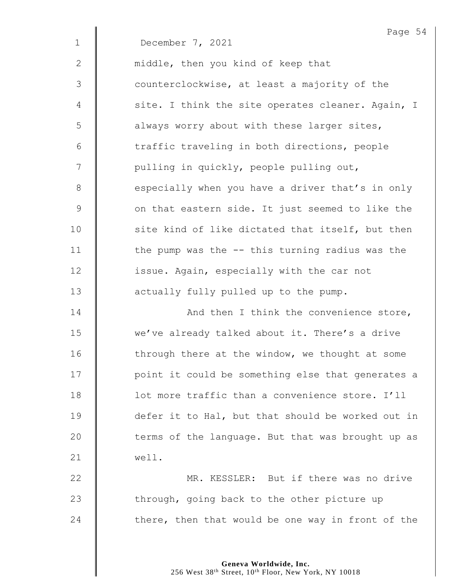|              | Page 54                                           |
|--------------|---------------------------------------------------|
| $\mathbf{1}$ | December 7, 2021                                  |
| 2            | middle, then you kind of keep that                |
| 3            | counterclockwise, at least a majority of the      |
| 4            | site. I think the site operates cleaner. Again, I |
| 5            | always worry about with these larger sites,       |
| 6            | traffic traveling in both directions, people      |
| 7            | pulling in quickly, people pulling out,           |
| $8\,$        | especially when you have a driver that's in only  |
| $\mathsf 9$  | on that eastern side. It just seemed to like the  |
| 10           | site kind of like dictated that itself, but then  |
| 11           | the pump was the -- this turning radius was the   |
| 12           | issue. Again, especially with the car not         |
| 13           | actually fully pulled up to the pump.             |
| 14           | And then I think the convenience store,           |
| 15           | we've already talked about it. There's a drive    |
| 16           | through there at the window, we thought at some   |
| 17           | point it could be something else that generates a |
| 18           | lot more traffic than a convenience store. I'll   |
| 19           | defer it to Hal, but that should be worked out in |
| 20           | terms of the language. But that was brought up as |
| 21           | well.                                             |
| 22           | MR. KESSLER: But if there was no drive            |
| 23           | through, going back to the other picture up       |
| 24           | there, then that would be one way in front of the |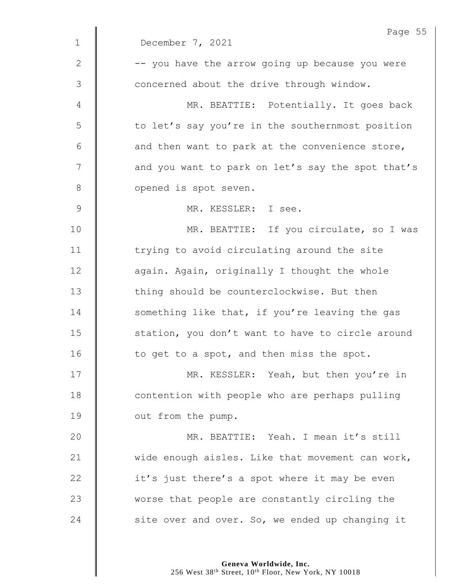|             | Page 55                                           |
|-------------|---------------------------------------------------|
| $\mathbf 1$ | December 7, 2021                                  |
| 2           | -- you have the arrow going up because you were   |
| 3           | concerned about the drive through window.         |
| 4           | MR. BEATTIE: Potentially. It goes back            |
| 5           | to let's say you're in the southernmost position  |
| 6           | and then want to park at the convenience store,   |
| 7           | and you want to park on let's say the spot that's |
| 8           | opened is spot seven.                             |
| $\mathsf 9$ | MR. KESSLER: I see.                               |
| 10          | MR. BEATTIE: If you circulate, so I was           |
| 11          | trying to avoid circulating around the site       |
| 12          | again. Again, originally I thought the whole      |
| 13          | thing should be counterclockwise. But then        |
| 14          | something like that, if you're leaving the gas    |
| 15          | station, you don't want to have to circle around  |
| 16          | to get to a spot, and then miss the spot.         |
| 17          | MR. KESSLER: Yeah, but then you're in             |
| 18          | contention with people who are perhaps pulling    |
| 19          | out from the pump.                                |
| 20          | MR. BEATTIE: Yeah. I mean it's still              |
| 21          | wide enough aisles. Like that movement can work,  |
| 22          | it's just there's a spot where it may be even     |
| 23          | worse that people are constantly circling the     |
| 24          | site over and over. So, we ended up changing it   |
|             |                                                   |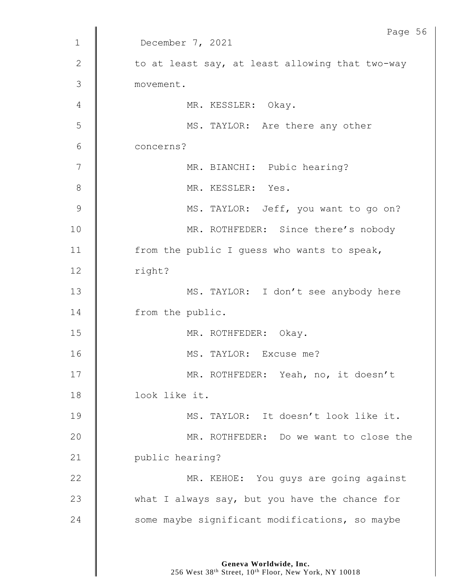|              | Page 56                                         |
|--------------|-------------------------------------------------|
| $\mathbf 1$  | December 7, 2021                                |
| $\mathbf{2}$ | to at least say, at least allowing that two-way |
| 3            | movement.                                       |
| 4            | MR. KESSLER: Okay.                              |
| 5            | MS. TAYLOR: Are there any other                 |
| 6            | concerns?                                       |
| 7            | MR. BIANCHI: Pubic hearing?                     |
| $8\,$        | MR. KESSLER: Yes.                               |
| 9            | MS. TAYLOR: Jeff, you want to go on?            |
| 10           | MR. ROTHFEDER: Since there's nobody             |
| 11           | from the public I guess who wants to speak,     |
| 12           | right?                                          |
| 13           | MS. TAYLOR: I don't see anybody here            |
| 14           | from the public.                                |
| 15           | MR. ROTHFEDER: Okay.                            |
| 16           | MS. TAYLOR: Excuse me?                          |
| 17           | MR. ROTHFEDER: Yeah, no, it doesn't             |
| 18           | look like it.                                   |
| 19           | MS. TAYLOR: It doesn't look like it.            |
| 20           | MR. ROTHFEDER: Do we want to close the          |
| 21           | public hearing?                                 |
| 22           | MR. KEHOE: You guys are going against           |
| 23           | what I always say, but you have the chance for  |
| 24           | some maybe significant modifications, so maybe  |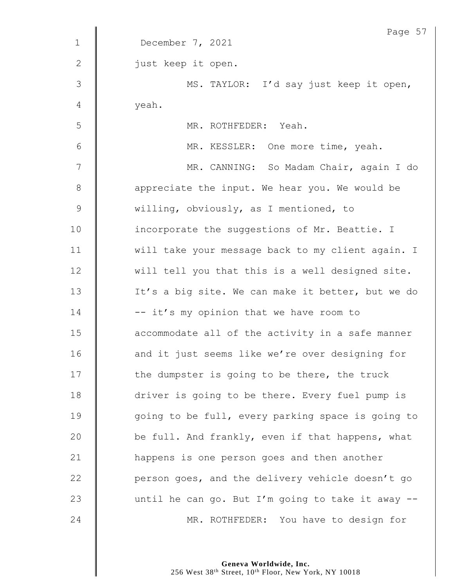|              | Page 57                                           |
|--------------|---------------------------------------------------|
| $\mathbf{1}$ | December 7, 2021                                  |
| $\mathbf{2}$ | just keep it open.                                |
| 3            | MS. TAYLOR: I'd say just keep it open,            |
| 4            | yeah.                                             |
| 5            | MR. ROTHFEDER: Yeah.                              |
| $6\,$        | MR. KESSLER: One more time, yeah.                 |
| 7            | MR. CANNING: So Madam Chair, again I do           |
| $8\,$        | appreciate the input. We hear you. We would be    |
| 9            | willing, obviously, as I mentioned, to            |
| 10           | incorporate the suggestions of Mr. Beattie. I     |
| 11           | will take your message back to my client again. I |
| 12           | will tell you that this is a well designed site.  |
| 13           | It's a big site. We can make it better, but we do |
| 14           | -- it's my opinion that we have room to           |
| 15           | accommodate all of the activity in a safe manner  |
| 16           | and it just seems like we're over designing for   |
| 17           | the dumpster is going to be there, the truck      |
| 18           | driver is going to be there. Every fuel pump is   |
| 19           | going to be full, every parking space is going to |
| 20           | be full. And frankly, even if that happens, what  |
| 21           | happens is one person goes and then another       |
| 22           | person goes, and the delivery vehicle doesn't go  |
| 23           | until he can go. But I'm going to take it away -- |
| 24           | MR. ROTHFEDER: You have to design for             |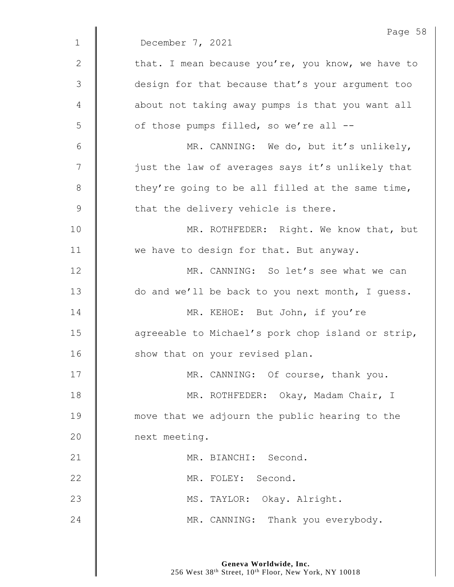|                | Page 58                                           |
|----------------|---------------------------------------------------|
| $\mathbf 1$    | December 7, 2021                                  |
| $\mathbf{2}$   | that. I mean because you're, you know, we have to |
| $\mathfrak{Z}$ | design for that because that's your argument too  |
| 4              | about not taking away pumps is that you want all  |
| 5              | of those pumps filled, so we're all --            |
| 6              | MR. CANNING: We do, but it's unlikely,            |
| 7              | just the law of averages says it's unlikely that  |
| $\,8\,$        | they're going to be all filled at the same time,  |
| $\mathsf 9$    | that the delivery vehicle is there.               |
| 10             | MR. ROTHFEDER: Right. We know that, but           |
| 11             | we have to design for that. But anyway.           |
| 12             | MR. CANNING: So let's see what we can             |
| 13             | do and we'll be back to you next month, I guess.  |
| 14             | MR. KEHOE: But John, if you're                    |
| 15             | agreeable to Michael's pork chop island or strip, |
| 16             | show that on your revised plan.                   |
| 17             | MR. CANNING: Of course, thank you.                |
| 18             | MR. ROTHFEDER: Okay, Madam Chair, I               |
| 19             | move that we adjourn the public hearing to the    |
| 20             | next meeting.                                     |
| 21             | MR. BIANCHI: Second.                              |
| 22             | MR. FOLEY: Second.                                |
| 23             | MS. TAYLOR: Okay. Alright.                        |
| 24             | MR. CANNING: Thank you everybody.                 |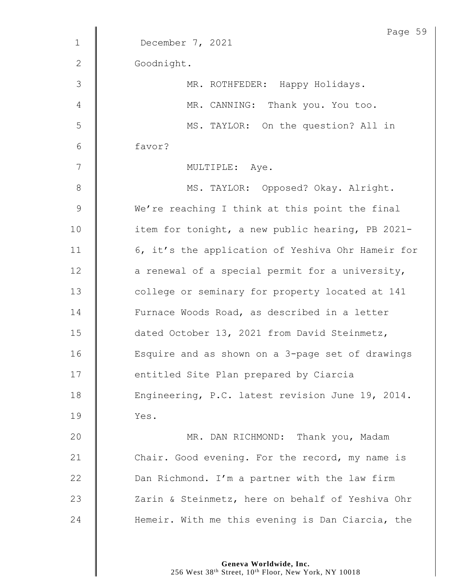|              | Page 59                                           |
|--------------|---------------------------------------------------|
| $\mathbf{1}$ | December 7, 2021                                  |
| $\mathbf{2}$ | Goodnight.                                        |
| 3            | MR. ROTHFEDER: Happy Holidays.                    |
| 4            | MR. CANNING: Thank you. You too.                  |
| 5            | MS. TAYLOR: On the question? All in               |
| 6            | favor?                                            |
| 7            | MULTIPLE: Aye.                                    |
| $8\,$        | MS. TAYLOR: Opposed? Okay. Alright.               |
| $\mathsf 9$  | We're reaching I think at this point the final    |
| 10           | item for tonight, a new public hearing, PB 2021-  |
| 11           | 6, it's the application of Yeshiva Ohr Hameir for |
| 12           | a renewal of a special permit for a university,   |
| 13           | college or seminary for property located at 141   |
| 14           | Furnace Woods Road, as described in a letter      |
| 15           | dated October 13, 2021 from David Steinmetz,      |
| 16           | Esquire and as shown on a 3-page set of drawings  |
| 17           | entitled Site Plan prepared by Ciarcia            |
| 18           | Engineering, P.C. latest revision June 19, 2014.  |
| 19           | Yes.                                              |
| 20           | MR. DAN RICHMOND: Thank you, Madam                |
| 21           | Chair. Good evening. For the record, my name is   |
| 22           | Dan Richmond. I'm a partner with the law firm     |
| 23           | Zarin & Steinmetz, here on behalf of Yeshiva Ohr  |
| 24           | Hemeir. With me this evening is Dan Ciarcia, the  |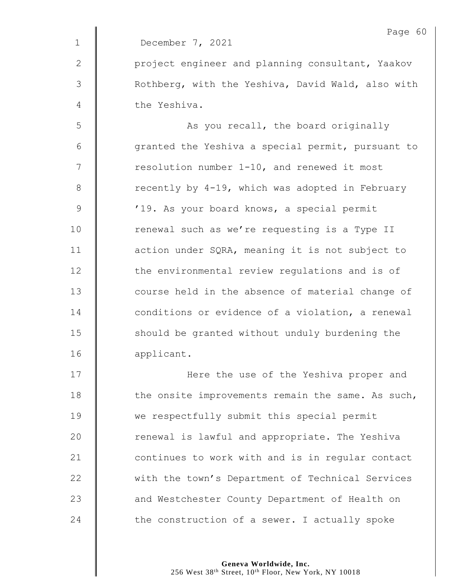|             | Page 60                                           |
|-------------|---------------------------------------------------|
| $\mathbf 1$ | December 7, 2021                                  |
| 2           | project engineer and planning consultant, Yaakov  |
| 3           | Rothberg, with the Yeshiva, David Wald, also with |
| 4           | the Yeshiva.                                      |
| 5           | As you recall, the board originally               |
| 6           | granted the Yeshiva a special permit, pursuant to |
| 7           | resolution number 1-10, and renewed it most       |
| 8           | recently by 4-19, which was adopted in February   |
| $\mathsf 9$ | '19. As your board knows, a special permit        |
| 10          | renewal such as we're requesting is a Type II     |
| 11          | action under SQRA, meaning it is not subject to   |
| 12          | the environmental review regulations and is of    |
| 13          | course held in the absence of material change of  |
| 14          | conditions or evidence of a violation, a renewal  |
| 15          | should be granted without unduly burdening the    |
| 16          | applicant.                                        |
| 17          | Here the use of the Yeshiva proper and            |
| 18          | the onsite improvements remain the same. As such, |
| 19          | we respectfully submit this special permit        |
| 20          | renewal is lawful and appropriate. The Yeshiva    |
| 21          | continues to work with and is in regular contact  |
|             |                                                   |

22 with the town's Department of Technical Services **and Westchester County Department of Health on** 24  $\parallel$  the construction of a sewer. I actually spoke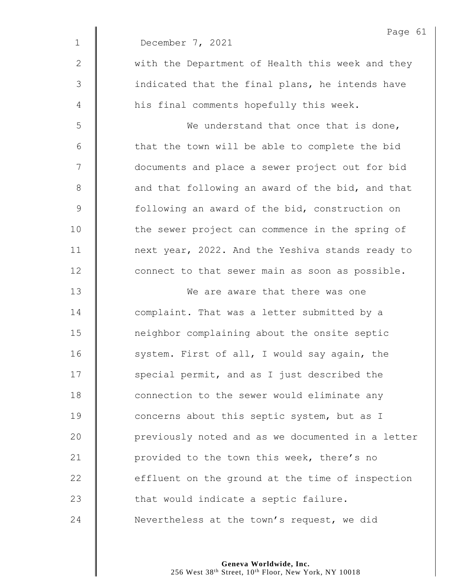|                | Page 61                                           |
|----------------|---------------------------------------------------|
| $\mathbf 1$    | December 7, 2021                                  |
| $\mathbf{2}$   | with the Department of Health this week and they  |
| $\mathfrak{Z}$ | indicated that the final plans, he intends have   |
| $\overline{4}$ | his final comments hopefully this week.           |
| 5              | We understand that once that is done,             |
| 6              | that the town will be able to complete the bid    |
| 7              | documents and place a sewer project out for bid   |
| $8\,$          | and that following an award of the bid, and that  |
| $\mathsf 9$    | following an award of the bid, construction on    |
| 10             | the sewer project can commence in the spring of   |
| 11             | next year, 2022. And the Yeshiva stands ready to  |
| 12             | connect to that sewer main as soon as possible.   |
| 13             | We are aware that there was one                   |
| 14             | complaint. That was a letter submitted by a       |
| 15             | neighbor complaining about the onsite septic      |
| 16             | system. First of all, I would say again, the      |
| 17             | special permit, and as I just described the       |
| 18             | connection to the sewer would eliminate any       |
| 19             | concerns about this septic system, but as I       |
| 20             | previously noted and as we documented in a letter |
| 21             | provided to the town this week, there's no        |
| 22             | effluent on the ground at the time of inspection  |
| 23             | that would indicate a septic failure.             |
| 24             | Nevertheless at the town's request, we did        |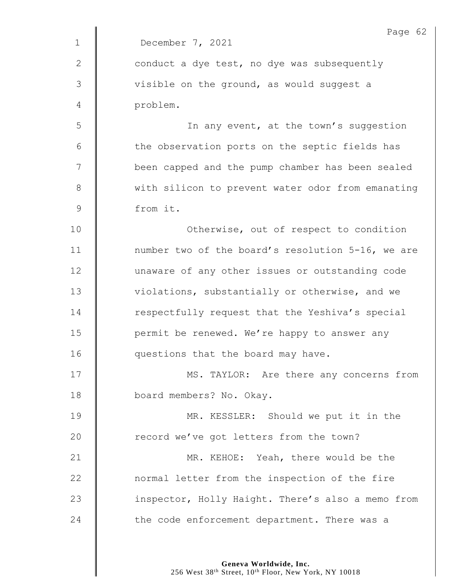|              | Page 62                                           |
|--------------|---------------------------------------------------|
| $\mathbf{1}$ | December 7, 2021                                  |
| 2            | conduct a dye test, no dye was subsequently       |
| 3            | visible on the ground, as would suggest a         |
| 4            | problem.                                          |
| 5            | In any event, at the town's suggestion            |
| 6            | the observation ports on the septic fields has    |
| 7            | been capped and the pump chamber has been sealed  |
| 8            | with silicon to prevent water odor from emanating |
| $\mathsf 9$  | from it.                                          |
| 10           | Otherwise, out of respect to condition            |
| 11           | number two of the board's resolution 5-16, we are |
| 12           | unaware of any other issues or outstanding code   |
| 13           | violations, substantially or otherwise, and we    |
| 14           | respectfully request that the Yeshiva's special   |
| 15           | permit be renewed. We're happy to answer any      |
| 16           | questions that the board may have                 |
| 17           | MS. TAYLOR: Are there any concerns from           |
| 18           | board members? No. Okay.                          |
| 19           | MR. KESSLER: Should we put it in the              |
| 20           | record we've got letters from the town?           |
| 21           | MR. KEHOE: Yeah, there would be the               |
| 22           | normal letter from the inspection of the fire     |
| 23           | inspector, Holly Haight. There's also a memo from |
| 24           | the code enforcement department. There was a      |
|              |                                                   |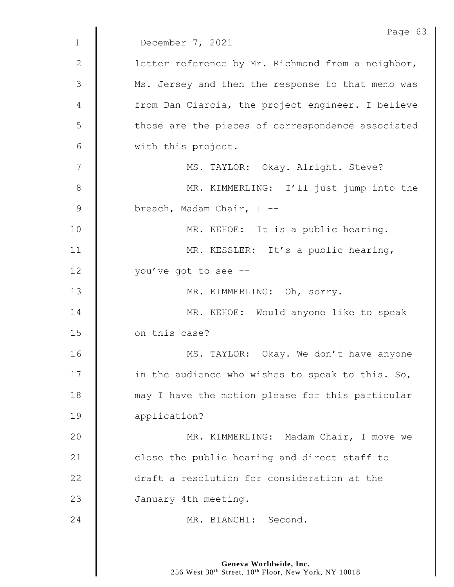|               | Page 63                                           |
|---------------|---------------------------------------------------|
| $\mathbf 1$   | December 7, 2021                                  |
| 2             | letter reference by Mr. Richmond from a neighbor, |
| $\mathcal{S}$ | Ms. Jersey and then the response to that memo was |
| 4             | from Dan Ciarcia, the project engineer. I believe |
| 5             | those are the pieces of correspondence associated |
| 6             | with this project.                                |
| 7             | MS. TAYLOR: Okay. Alright. Steve?                 |
| 8             | MR. KIMMERLING: I'll just jump into the           |
| $\mathsf 9$   | breach, Madam Chair, I --                         |
| 10            | MR. KEHOE: It is a public hearing.                |
| 11            | MR. KESSLER: It's a public hearing,               |
| 12            | you've got to see --                              |
| 13            | MR. KIMMERLING: Oh, sorry.                        |
| 14            | MR. KEHOE: Would anyone like to speak             |
| 15            | on this case?                                     |
| 16            | MS. TAYLOR: Okay. We don't have anyone            |
| 17            | in the audience who wishes to speak to this. So,  |
| 18            | may I have the motion please for this particular  |
| 19            | application?                                      |
| 20            | MR. KIMMERLING: Madam Chair, I move we            |
| 21            | close the public hearing and direct staff to      |
| 22            | draft a resolution for consideration at the       |
| 23            | January 4th meeting.                              |
| 24            | MR. BIANCHI: Second.                              |
|               |                                                   |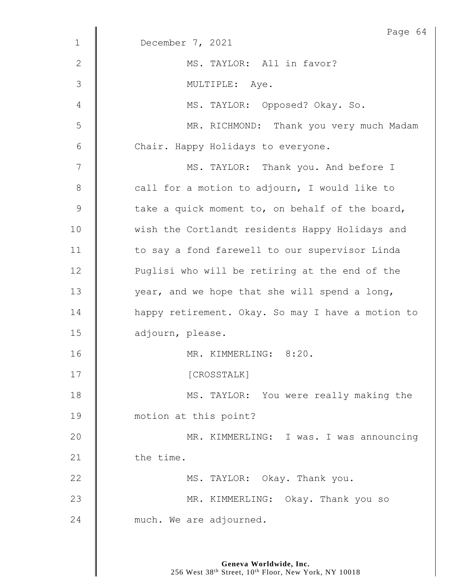|              | Page 64                                           |
|--------------|---------------------------------------------------|
| $\mathbf 1$  | December 7, 2021                                  |
| $\mathbf{2}$ | MS. TAYLOR: All in favor?                         |
| 3            | MULTIPLE: Aye.                                    |
| 4            | MS. TAYLOR: Opposed? Okay. So.                    |
| 5            | MR. RICHMOND: Thank you very much Madam           |
| 6            | Chair. Happy Holidays to everyone.                |
| 7            | MS. TAYLOR: Thank you. And before I               |
| $8\,$        | call for a motion to adjourn, I would like to     |
| 9            | take a quick moment to, on behalf of the board,   |
| 10           | wish the Cortlandt residents Happy Holidays and   |
| 11           | to say a fond farewell to our supervisor Linda    |
| 12           | Puglisi who will be retiring at the end of the    |
| 13           | year, and we hope that she will spend a long,     |
| 14           | happy retirement. Okay. So may I have a motion to |
| 15           | adjourn, please.                                  |
| 16           | MR. KIMMERLING: 8:20.                             |
| 17           | [CROSSTALK]                                       |
| 18           | MS. TAYLOR: You were really making the            |
| 19           | motion at this point?                             |
| 20           | MR. KIMMERLING: I was. I was announcing           |
| 21           | the time.                                         |
| 22           | MS. TAYLOR: Okay. Thank you.                      |
| 23           | MR. KIMMERLING: Okay. Thank you so                |
| 24           | much. We are adjourned.                           |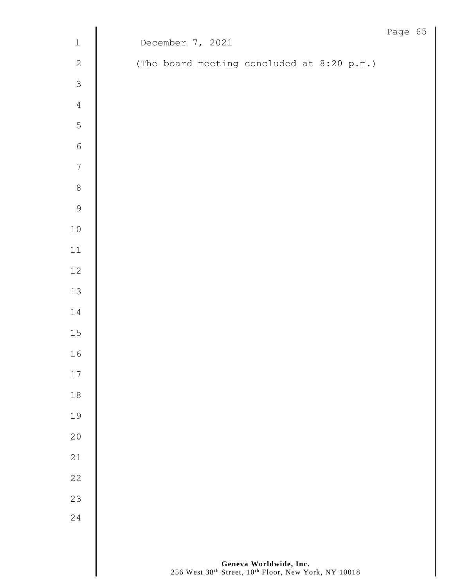|                  |                                            | Page 65 |  |
|------------------|--------------------------------------------|---------|--|
| $\,1\,$          | December 7, 2021                           |         |  |
| $\mathbf{2}$     | (The board meeting concluded at 8:20 p.m.) |         |  |
| $\mathfrak{Z}$   |                                            |         |  |
| $\sqrt{4}$       |                                            |         |  |
| $\mathsf 5$      |                                            |         |  |
| $\sqrt{6}$       |                                            |         |  |
| $\boldsymbol{7}$ |                                            |         |  |
| $\,8\,$          |                                            |         |  |
| $\overline{9}$   |                                            |         |  |
| $1\,0$           |                                            |         |  |
| $11\,$           |                                            |         |  |
| $12\,$           |                                            |         |  |
| $13\,$           |                                            |         |  |
| $1\,4$           |                                            |         |  |
| $15\,$           |                                            |         |  |
| 16               |                                            |         |  |
| $17\,$           |                                            |         |  |
| $18$             |                                            |         |  |
| 19               |                                            |         |  |
| 20               |                                            |         |  |
| 21               |                                            |         |  |
| 22               |                                            |         |  |
| 23               |                                            |         |  |
| 24               |                                            |         |  |
|                  |                                            |         |  |